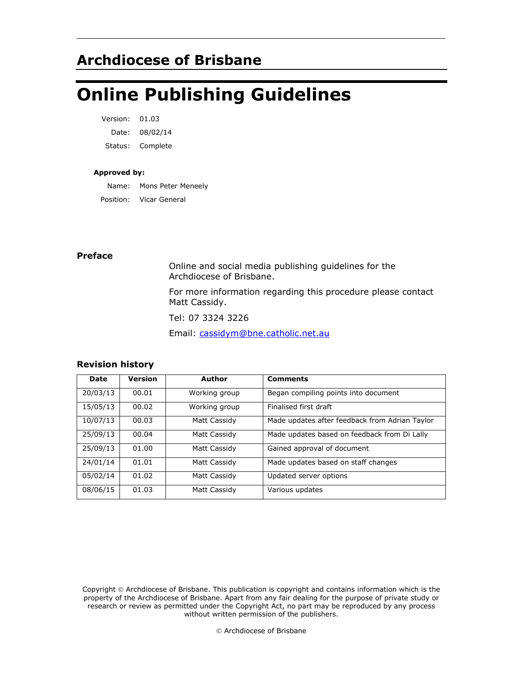# **Archdiocese of Brisbane**

# **Online Publishing Guidelines**

| Version: | 01.03    |
|----------|----------|
| Date:    | 08/02/14 |
| Status:  | Complete |

#### **Approved by:**

Name: Mons Peter Meneely Position: Vicar General

#### **Preface**

Online and social media publishing guidelines for the Archdiocese of Brisbane.

For more information regarding this procedure please contact Matt Cassidy.

Tel: 07 3324 3226

Email: [cassidym@bne.catholic.net.au](mailto:cassidym@bne.catholic.net.au)

#### **Revision history**

| Date     | <b>Version</b> | <b>Author</b> | <b>Comments</b>                                |
|----------|----------------|---------------|------------------------------------------------|
| 20/03/13 | 00.01          | Working group | Began compiling points into document           |
| 15/05/13 | 00.02          | Working group | Finalised first draft                          |
| 10/07/13 | 00.03          | Matt Cassidy  | Made updates after feedback from Adrian Taylor |
| 25/09/13 | 00.04          | Matt Cassidy  | Made updates based on feedback from Di Lally   |
| 25/09/13 | 01.00          | Matt Cassidy  | Gained approval of document                    |
| 24/01/14 | 01.01          | Matt Cassidy  | Made updates based on staff changes            |
| 05/02/14 | 01.02          | Matt Cassidy  | Updated server options                         |
| 08/06/15 | 01.03          | Matt Cassidy  | Various updates                                |

Copyright © Archdiocese of Brisbane. This publication is copyright and contains information which is the property of the Archdiocese of Brisbane. Apart from any fair dealing for the purpose of private study or research or review as permitted under the Copyright Act, no part may be reproduced by any process without written permission of the publishers.

© Archdiocese of Brisbane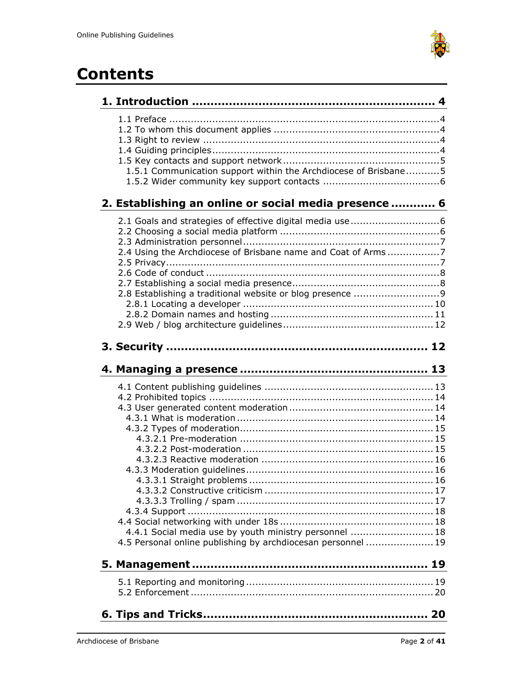

# **Contents**

| 1.5.1 Communication support within the Archdiocese of Brisbane5                                                       |
|-----------------------------------------------------------------------------------------------------------------------|
| 2. Establishing an online or social media presence  6                                                                 |
| 2.4 Using the Archdiocese of Brisbane name and Coat of Arms7                                                          |
|                                                                                                                       |
|                                                                                                                       |
| 4.4.1 Social media use by youth ministry personnel  18<br>4.5 Personal online publishing by archdiocesan personnel 19 |
|                                                                                                                       |
|                                                                                                                       |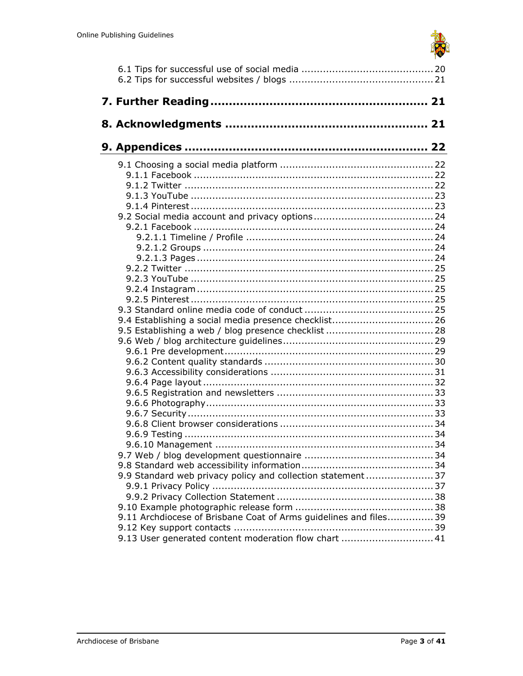

| 9.4 Establishing a social media presence checklist 26             |  |
|-------------------------------------------------------------------|--|
|                                                                   |  |
|                                                                   |  |
|                                                                   |  |
|                                                                   |  |
|                                                                   |  |
|                                                                   |  |
|                                                                   |  |
|                                                                   |  |
|                                                                   |  |
|                                                                   |  |
|                                                                   |  |
|                                                                   |  |
|                                                                   |  |
|                                                                   |  |
|                                                                   |  |
|                                                                   |  |
| 9.9 Standard web privacy policy and collection statement37        |  |
|                                                                   |  |
|                                                                   |  |
|                                                                   |  |
| 9.11 Archdiocese of Brisbane Coat of Arms guidelines and files 39 |  |
|                                                                   |  |
|                                                                   |  |
| 9.13 User generated content moderation flow chart  41             |  |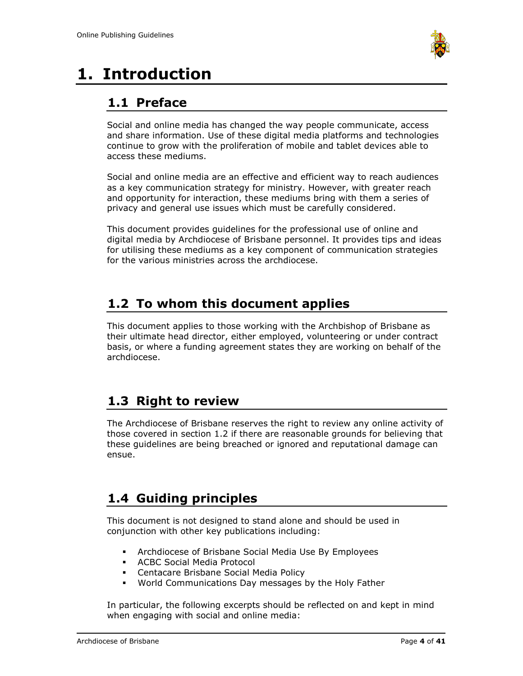

# <span id="page-3-1"></span><span id="page-3-0"></span>**1. Introduction**

# **1.1 Preface**

Social and online media has changed the way people communicate, access and share information. Use of these digital media platforms and technologies continue to grow with the proliferation of mobile and tablet devices able to access these mediums.

Social and online media are an effective and efficient way to reach audiences as a key communication strategy for ministry. However, with greater reach and opportunity for interaction, these mediums bring with them a series of privacy and general use issues which must be carefully considered.

This document provides guidelines for the professional use of online and digital media by Archdiocese of Brisbane personnel. It provides tips and ideas for utilising these mediums as a key component of communication strategies for the various ministries across the archdiocese.

# <span id="page-3-2"></span>**1.2 To whom this document applies**

This document applies to those working with the Archbishop of Brisbane as their ultimate head director, either employed, volunteering or under contract basis, or where a funding agreement states they are working on behalf of the archdiocese.

# <span id="page-3-3"></span>**1.3 Right to review**

The Archdiocese of Brisbane reserves the right to review any online activity of those covered in section 1.2 if there are reasonable grounds for believing that these guidelines are being breached or ignored and reputational damage can ensue.

# <span id="page-3-4"></span>**1.4 Guiding principles**

This document is not designed to stand alone and should be used in conjunction with other key publications including:

- Archdiocese of Brisbane Social Media Use By Employees
- ACBC Social Media Protocol
- Centacare Brisbane Social Media Policy
- World Communications Day messages by the Holy Father

In particular, the following excerpts should be reflected on and kept in mind when engaging with social and online media: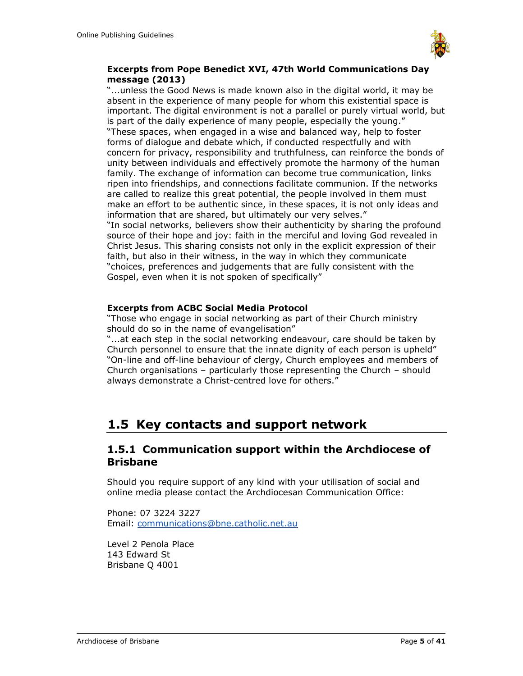

#### **Excerpts from Pope Benedict XVI, 47th World Communications Day message (2013)**

"...unless the Good News is made known also in the digital world, it may be absent in the experience of many people for whom this existential space is important. The digital environment is not a parallel or purely virtual world, but is part of the daily experience of many people, especially the young." "These spaces, when engaged in a wise and balanced way, help to foster forms of dialogue and debate which, if conducted respectfully and with concern for privacy, responsibility and truthfulness, can reinforce the bonds of unity between individuals and effectively promote the harmony of the human family. The exchange of information can become true communication, links ripen into friendships, and connections facilitate communion. If the networks are called to realize this great potential, the people involved in them must make an effort to be authentic since, in these spaces, it is not only ideas and information that are shared, but ultimately our very selves." "In social networks, believers show their authenticity by sharing the profound source of their hope and joy: faith in the merciful and loving God revealed in Christ Jesus. This sharing consists not only in the explicit expression of their faith, but also in their witness, in the way in which they communicate

"choices, preferences and judgements that are fully consistent with the Gospel, even when it is not spoken of specifically"

### **Excerpts from ACBC Social Media Protocol**

"Those who engage in social networking as part of their Church ministry should do so in the name of evangelisation"

"...at each step in the social networking endeavour, care should be taken by Church personnel to ensure that the innate dignity of each person is upheld" "On-line and off-line behaviour of clergy, Church employees and members of Church organisations – particularly those representing the Church – should always demonstrate a Christ-centred love for others."

## <span id="page-4-0"></span>**1.5 Key contacts and support network**

### <span id="page-4-1"></span>**1.5.1 Communication support within the Archdiocese of Brisbane**

Should you require support of any kind with your utilisation of social and online media please contact the Archdiocesan Communication Office:

Phone: 07 3224 3227 Email: [communications@bne.catholic.net.au](mailto:communications@bne.catholic.net.au)

Level 2 Penola Place 143 Edward St Brisbane Q 4001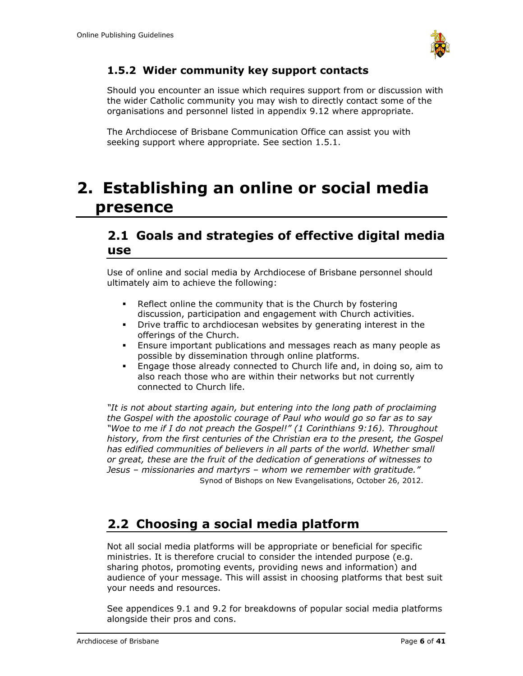

## <span id="page-5-0"></span>**1.5.2 Wider community key support contacts**

Should you encounter an issue which requires support from or discussion with the wider Catholic community you may wish to directly contact some of the organisations and personnel listed in appendix 9.12 where appropriate.

The Archdiocese of Brisbane Communication Office can assist you with seeking support where appropriate. See section 1.5.1.

# <span id="page-5-1"></span>**2. Establishing an online or social media presence**

## <span id="page-5-2"></span>**2.1 Goals and strategies of effective digital media use**

Use of online and social media by Archdiocese of Brisbane personnel should ultimately aim to achieve the following:

- Reflect online the community that is the Church by fostering discussion, participation and engagement with Church activities.
- Drive traffic to archdiocesan websites by generating interest in the offerings of the Church.
- **Ensure important publications and messages reach as many people as** possible by dissemination through online platforms.
- Engage those already connected to Church life and, in doing so, aim to also reach those who are within their networks but not currently connected to Church life.

*"It is not about starting again, but entering into the long path of proclaiming the Gospel with the apostolic courage of Paul who would go so far as to say "Woe to me if I do not preach the Gospel!" (1 Corinthians 9:16). Throughout history, from the first centuries of the Christian era to the present, the Gospel*  has edified communities of believers in all parts of the world. Whether small *or great, these are the fruit of the dedication of generations of witnesses to Jesus – missionaries and martyrs – whom we remember with gratitude."* Synod of Bishops on New Evangelisations, October 26, 2012.

# <span id="page-5-3"></span>**2.2 Choosing a social media platform**

Not all social media platforms will be appropriate or beneficial for specific ministries. It is therefore crucial to consider the intended purpose (e.g. sharing photos, promoting events, providing news and information) and audience of your message. This will assist in choosing platforms that best suit your needs and resources.

See appendices 9.1 and 9.2 for breakdowns of popular social media platforms alongside their pros and cons.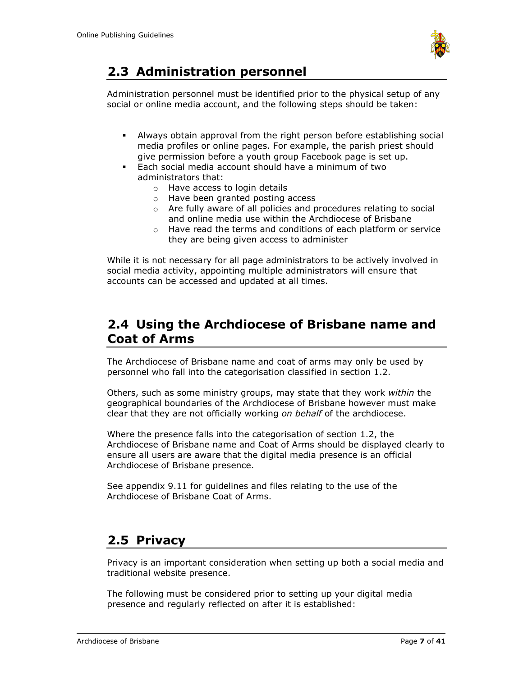

# <span id="page-6-0"></span>**2.3 Administration personnel**

Administration personnel must be identified prior to the physical setup of any social or online media account, and the following steps should be taken:

- Always obtain approval from the right person before establishing social media profiles or online pages. For example, the parish priest should give permission before a youth group Facebook page is set up.
- Each social media account should have a minimum of two administrators that:
	- o Have access to login details
	- o Have been granted posting access
	- o Are fully aware of all policies and procedures relating to social and online media use within the Archdiocese of Brisbane
	- o Have read the terms and conditions of each platform or service they are being given access to administer

While it is not necessary for all page administrators to be actively involved in social media activity, appointing multiple administrators will ensure that accounts can be accessed and updated at all times.

# <span id="page-6-1"></span>**2.4 Using the Archdiocese of Brisbane name and Coat of Arms**

The Archdiocese of Brisbane name and coat of arms may only be used by personnel who fall into the categorisation classified in section 1.2.

Others, such as some ministry groups, may state that they work *within* the geographical boundaries of the Archdiocese of Brisbane however must make clear that they are not officially working *on behalf* of the archdiocese.

Where the presence falls into the categorisation of section 1.2, the Archdiocese of Brisbane name and Coat of Arms should be displayed clearly to ensure all users are aware that the digital media presence is an official Archdiocese of Brisbane presence.

See appendix 9.11 for guidelines and files relating to the use of the Archdiocese of Brisbane Coat of Arms.

## <span id="page-6-2"></span>**2.5 Privacy**

Privacy is an important consideration when setting up both a social media and traditional website presence.

The following must be considered prior to setting up your digital media presence and regularly reflected on after it is established: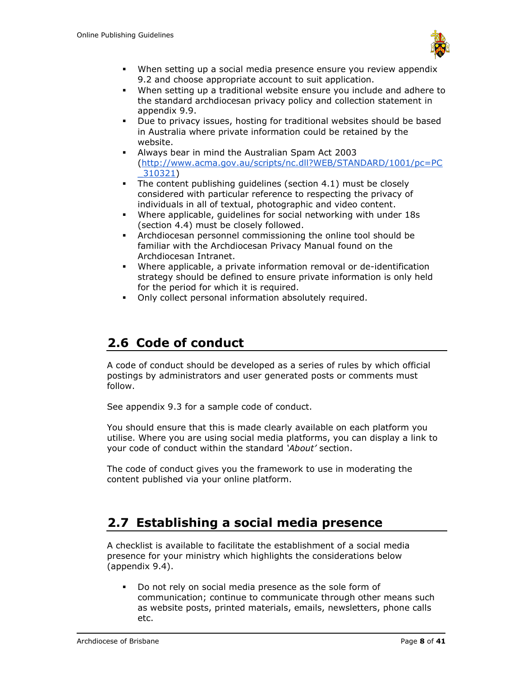

- When setting up a social media presence ensure you review appendix 9.2 and choose appropriate account to suit application.
- When setting up a traditional website ensure you include and adhere to the standard archdiocesan privacy policy and collection statement in appendix 9.9.
- Due to privacy issues, hosting for traditional websites should be based in Australia where private information could be retained by the website.
- Always bear in mind the Australian Spam Act 2003 [\(http://www.acma.gov.au/scripts/nc.dll?WEB/STANDARD/1001/pc=PC](http://www.acma.gov.au/scripts/nc.dll?WEB/STANDARD/1001/pc=PC_310321) [\\_310321\)](http://www.acma.gov.au/scripts/nc.dll?WEB/STANDARD/1001/pc=PC_310321)
- **•** The content publishing guidelines (section 4.1) must be closely considered with particular reference to respecting the privacy of individuals in all of textual, photographic and video content.
- Where applicable, guidelines for social networking with under 18s (section 4.4) must be closely followed.
- Archdiocesan personnel commissioning the online tool should be familiar with the Archdiocesan Privacy Manual found on the Archdiocesan Intranet.
- Where applicable, a private information removal or de-identification strategy should be defined to ensure private information is only held for the period for which it is required.
- Only collect personal information absolutely required.

# <span id="page-7-0"></span>**2.6 Code of conduct**

A code of conduct should be developed as a series of rules by which official postings by administrators and user generated posts or comments must follow.

See appendix 9.3 for a sample code of conduct.

You should ensure that this is made clearly available on each platform you utilise. Where you are using social media platforms, you can display a link to your code of conduct within the standard *'About'* section.

The code of conduct gives you the framework to use in moderating the content published via your online platform.

# <span id="page-7-1"></span>**2.7 Establishing a social media presence**

A checklist is available to facilitate the establishment of a social media presence for your ministry which highlights the considerations below (appendix 9.4).

▪ Do not rely on social media presence as the sole form of communication; continue to communicate through other means such as website posts, printed materials, emails, newsletters, phone calls etc.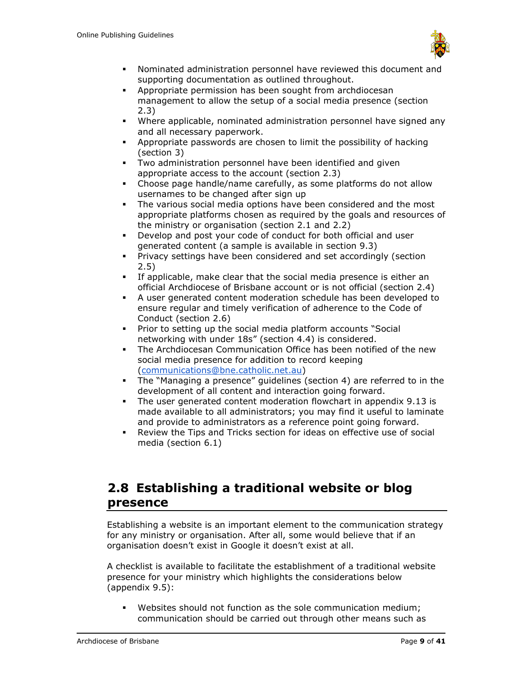

- Nominated administration personnel have reviewed this document and supporting documentation as outlined throughout.
- Appropriate permission has been sought from archdiocesan management to allow the setup of a social media presence (section 2.3)
- Where applicable, nominated administration personnel have signed any and all necessary paperwork.
- Appropriate passwords are chosen to limit the possibility of hacking (section 3)
- Two administration personnel have been identified and given appropriate access to the account (section 2.3)
- Choose page handle/name carefully, as some platforms do not allow usernames to be changed after sign up
- The various social media options have been considered and the most appropriate platforms chosen as required by the goals and resources of the ministry or organisation (section 2.1 and 2.2)
- Develop and post your code of conduct for both official and user generated content (a sample is available in section 9.3)
- **•** Privacy settings have been considered and set accordingly (section 2.5)
- If applicable, make clear that the social media presence is either an official Archdiocese of Brisbane account or is not official (section 2.4)
- A user generated content moderation schedule has been developed to ensure regular and timely verification of adherence to the Code of Conduct (section 2.6)
- Prior to setting up the social media platform accounts "Social networking with under 18s" (section 4.4) is considered.
- The Archdiocesan Communication Office has been notified of the new social media presence for addition to record keeping [\(communications@bne.catholic.net.au\)](mailto:communications@bne.catholic.net.au)
- The "Managing a presence" guidelines (section 4) are referred to in the development of all content and interaction going forward.
- The user generated content moderation flowchart in appendix 9.13 is made available to all administrators; you may find it useful to laminate and provide to administrators as a reference point going forward.
- Review the Tips and Tricks section for ideas on effective use of social media (section 6.1)

# <span id="page-8-0"></span>**2.8 Establishing a traditional website or blog presence**

Establishing a website is an important element to the communication strategy for any ministry or organisation. After all, some would believe that if an organisation doesn't exist in Google it doesn't exist at all.

A checklist is available to facilitate the establishment of a traditional website presence for your ministry which highlights the considerations below (appendix 9.5):

Websites should not function as the sole communication medium; communication should be carried out through other means such as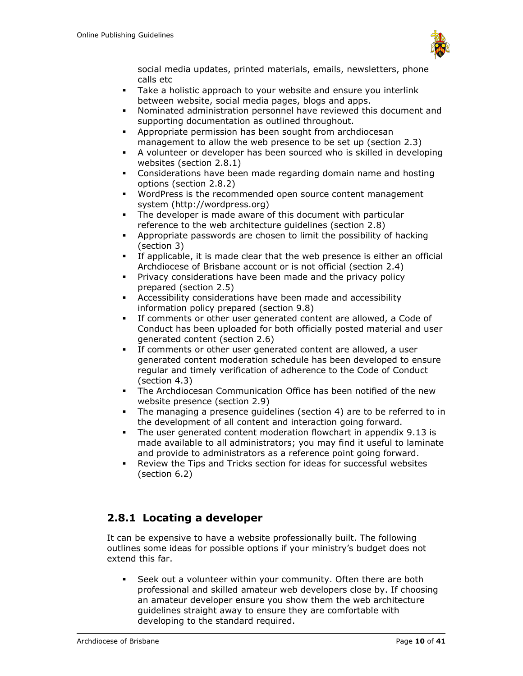

social media updates, printed materials, emails, newsletters, phone calls etc

- Take a holistic approach to your website and ensure you interlink between website, social media pages, blogs and apps.
- Nominated administration personnel have reviewed this document and supporting documentation as outlined throughout.
- Appropriate permission has been sought from archdiocesan management to allow the web presence to be set up (section 2.3)
- A volunteer or developer has been sourced who is skilled in developing websites (section 2.8.1)
- Considerations have been made regarding domain name and hosting options (section 2.8.2)
- WordPress is the recommended open source content management system (http://wordpress.org)
- The developer is made aware of this document with particular reference to the web architecture guidelines (section 2.8)
- Appropriate passwords are chosen to limit the possibility of hacking (section 3)
- If applicable, it is made clear that the web presence is either an official Archdiocese of Brisbane account or is not official (section 2.4)
- Privacy considerations have been made and the privacy policy prepared (section 2.5)
- Accessibility considerations have been made and accessibility information policy prepared (section 9.8)
- If comments or other user generated content are allowed, a Code of Conduct has been uploaded for both officially posted material and user generated content (section 2.6)
- If comments or other user generated content are allowed, a user generated content moderation schedule has been developed to ensure regular and timely verification of adherence to the Code of Conduct (section 4.3)
- The Archdiocesan Communication Office has been notified of the new website presence (section 2.9)
- The managing a presence guidelines (section 4) are to be referred to in the development of all content and interaction going forward.
- The user generated content moderation flowchart in appendix 9.13 is made available to all administrators; you may find it useful to laminate and provide to administrators as a reference point going forward.
- Review the Tips and Tricks section for ideas for successful websites (section 6.2)

## <span id="page-9-0"></span>**2.8.1 Locating a developer**

It can be expensive to have a website professionally built. The following outlines some ideas for possible options if your ministry's budget does not extend this far.

▪ Seek out a volunteer within your community. Often there are both professional and skilled amateur web developers close by. If choosing an amateur developer ensure you show them the web architecture guidelines straight away to ensure they are comfortable with developing to the standard required.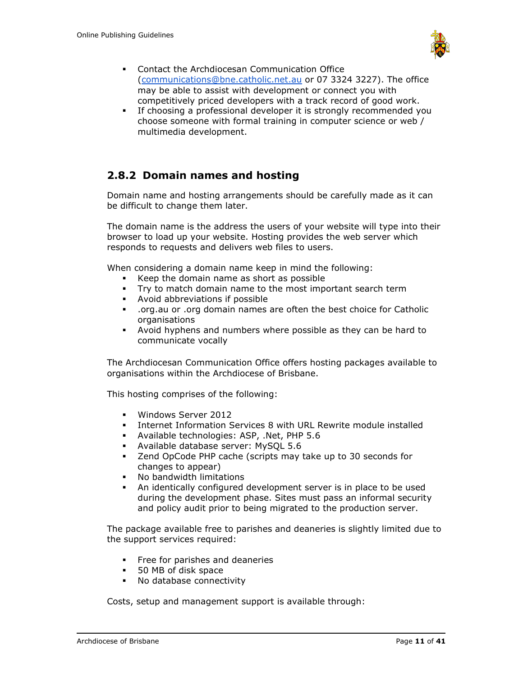

- Contact the Archdiocesan Communication Office [\(communications@bne.catholic.net.au](mailto:communications@bne.catholic.net.au) or 07 3324 3227). The office may be able to assist with development or connect you with competitively priced developers with a track record of good work.
- If choosing a professional developer it is strongly recommended you choose someone with formal training in computer science or web / multimedia development.

## <span id="page-10-0"></span>**2.8.2 Domain names and hosting**

Domain name and hosting arrangements should be carefully made as it can be difficult to change them later.

The domain name is the address the users of your website will type into their browser to load up your website. Hosting provides the web server which responds to requests and delivers web files to users.

When considering a domain name keep in mind the following:

- Keep the domain name as short as possible
- Try to match domain name to the most important search term
- Avoid abbreviations if possible
- .org.au or .org domain names are often the best choice for Catholic organisations
- Avoid hyphens and numbers where possible as they can be hard to communicate vocally

The Archdiocesan Communication Office offers hosting packages available to organisations within the Archdiocese of Brisbane.

This hosting comprises of the following:

- Windows Server 2012
- Internet Information Services 8 with URL Rewrite module installed
- Available technologies: ASP, .Net, PHP 5.6
- Available database server: MySQL 5.6
- Zend OpCode PHP cache (scripts may take up to 30 seconds for changes to appear)
- No bandwidth limitations
- An identically configured development server is in place to be used during the development phase. Sites must pass an informal security and policy audit prior to being migrated to the production server.

The package available free to parishes and deaneries is slightly limited due to the support services required:

- **•** Free for parishes and deaneries
- 50 MB of disk space
- No database connectivity

Costs, setup and management support is available through: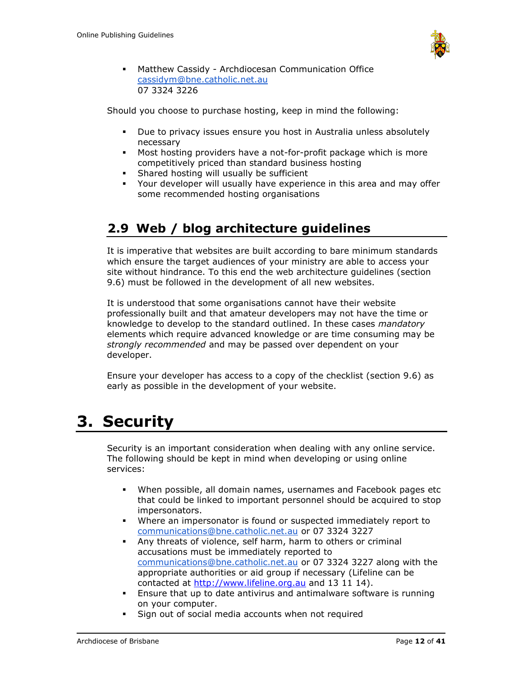

▪ Matthew Cassidy - Archdiocesan Communication Office [cassidym@bne.catholic.net.au](mailto:cassidym@bne.catholic.net.au) 07 3324 3226

Should you choose to purchase hosting, keep in mind the following:

- Due to privacy issues ensure you host in Australia unless absolutely necessary
- Most hosting providers have a not-for-profit package which is more competitively priced than standard business hosting
- **EXECUTE:** Shared hosting will usually be sufficient
- Your developer will usually have experience in this area and may offer some recommended hosting organisations

# <span id="page-11-0"></span>**2.9 Web / blog architecture guidelines**

It is imperative that websites are built according to bare minimum standards which ensure the target audiences of your ministry are able to access your site without hindrance. To this end the web architecture guidelines (section 9.6) must be followed in the development of all new websites.

It is understood that some organisations cannot have their website professionally built and that amateur developers may not have the time or knowledge to develop to the standard outlined. In these cases *mandatory* elements which require advanced knowledge or are time consuming may be *strongly recommended* and may be passed over dependent on your developer.

Ensure your developer has access to a copy of the checklist (section 9.6) as early as possible in the development of your website.

# <span id="page-11-1"></span>**3. Security**

Security is an important consideration when dealing with any online service. The following should be kept in mind when developing or using online services:

- When possible, all domain names, usernames and Facebook pages etc that could be linked to important personnel should be acquired to stop impersonators.
- Where an impersonator is found or suspected immediately report to [communications@bne.catholic.net.au](mailto:communications@bne.catholic.net.au) or 07 3324 3227
- Any threats of violence, self harm, harm to others or criminal accusations must be immediately reported to [communications@bne.catholic.net.au](mailto:communications@bne.catholic.net.au) or 07 3324 3227 along with the appropriate authorities or aid group if necessary (Lifeline can be contacted at [http://www.lifeline.org.au](http://www.lifeline.org.au/) and 13 11 14).
- **Ensure that up to date antivirus and antimalware software is running** on your computer.
- Sign out of social media accounts when not required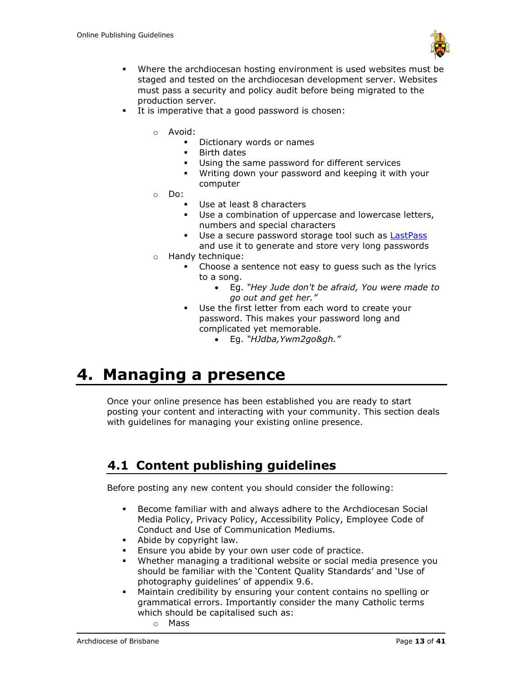

- Where the archdiocesan hosting environment is used websites must be staged and tested on the archdiocesan development server. Websites must pass a security and policy audit before being migrated to the production server.
- It is imperative that a good password is chosen:
	- o Avoid:
		- Dictionary words or names
		- Birth dates
		- Using the same password for different services
		- Writing down your password and keeping it with your computer
	- o Do:
		- Use at least 8 characters
		- Use a combination of uppercase and lowercase letters, numbers and special characters
		- **■** Use a secure password storage tool such as [LastPass](https://lastpass.com/) and use it to generate and store very long passwords
	- o Handy technique:
		- Choose a sentence not easy to guess such as the lyrics to a song.
			- Eg. *"Hey Jude don't be afraid, You were made to go out and get her."*
		- Use the first letter from each word to create your password. This makes your password long and complicated yet memorable.
			- Eg. *"HJdba,Ywm2go&gh."*

# <span id="page-12-0"></span>**4. Managing a presence**

Once your online presence has been established you are ready to start posting your content and interacting with your community. This section deals with guidelines for managing your existing online presence.

# <span id="page-12-1"></span>**4.1 Content publishing guidelines**

Before posting any new content you should consider the following:

- Become familiar with and always adhere to the Archdiocesan Social Media Policy, Privacy Policy, Accessibility Policy, Employee Code of Conduct and Use of Communication Mediums.
- Abide by copyright law.
- Ensure you abide by your own user code of practice.
- Whether managing a traditional website or social media presence you should be familiar with the 'Content Quality Standards' and 'Use of photography guidelines' of appendix 9.6.
- Maintain credibility by ensuring your content contains no spelling or grammatical errors. Importantly consider the many Catholic terms which should be capitalised such as:
	- o Mass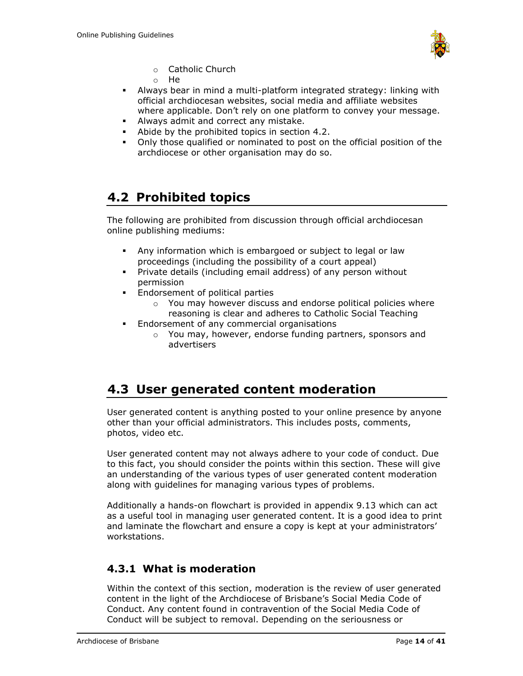

- o Catholic Church
- o He
- Always bear in mind a multi-platform integrated strategy: linking with official archdiocesan websites, social media and affiliate websites where applicable. Don't rely on one platform to convey your message.
- Always admit and correct any mistake.
- Abide by the prohibited topics in section 4.2.
- Only those qualified or nominated to post on the official position of the archdiocese or other organisation may do so.

# <span id="page-13-0"></span>**4.2 Prohibited topics**

The following are prohibited from discussion through official archdiocesan online publishing mediums:

- Any information which is embargoed or subject to legal or law proceedings (including the possibility of a court appeal)
- Private details (including email address) of any person without permission
- **Endorsement of political parties** 
	- o You may however discuss and endorse political policies where reasoning is clear and adheres to Catholic Social Teaching
- **Endorsement of any commercial organisations** 
	- o You may, however, endorse funding partners, sponsors and advertisers

## <span id="page-13-1"></span>**4.3 User generated content moderation**

User generated content is anything posted to your online presence by anyone other than your official administrators. This includes posts, comments, photos, video etc.

User generated content may not always adhere to your code of conduct. Due to this fact, you should consider the points within this section. These will give an understanding of the various types of user generated content moderation along with guidelines for managing various types of problems.

Additionally a hands-on flowchart is provided in appendix 9.13 which can act as a useful tool in managing user generated content. It is a good idea to print and laminate the flowchart and ensure a copy is kept at your administrators' workstations.

## <span id="page-13-2"></span>**4.3.1 What is moderation**

Within the context of this section, moderation is the review of user generated content in the light of the Archdiocese of Brisbane's Social Media Code of Conduct. Any content found in contravention of the Social Media Code of Conduct will be subject to removal. Depending on the seriousness or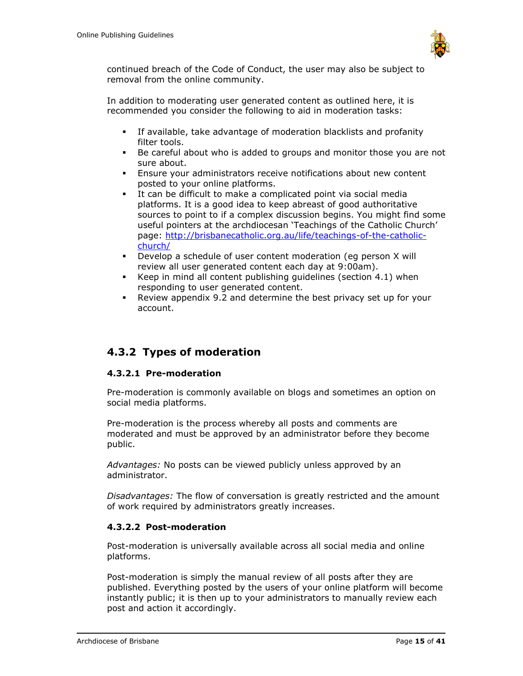

continued breach of the Code of Conduct, the user may also be subject to removal from the online community.

In addition to moderating user generated content as outlined here, it is recommended you consider the following to aid in moderation tasks:

- If available, take advantage of moderation blacklists and profanity filter tools.
- Be careful about who is added to groups and monitor those you are not sure about.
- Ensure your administrators receive notifications about new content posted to your online platforms.
- It can be difficult to make a complicated point via social media platforms. It is a good idea to keep abreast of good authoritative sources to point to if a complex discussion begins. You might find some useful pointers at the archdiocesan 'Teachings of the Catholic Church' page: [http://brisbanecatholic.org.au/life/teachings-of-the-catholic](http://brisbanecatholic.org.au/life/teachings-of-the-catholic-church/)[church/](http://brisbanecatholic.org.au/life/teachings-of-the-catholic-church/)
- Develop a schedule of user content moderation (eq person X will review all user generated content each day at 9:00am).
- Keep in mind all content publishing guidelines (section 4.1) when responding to user generated content.
- Review appendix 9.2 and determine the best privacy set up for your account.

## <span id="page-14-0"></span>**4.3.2 Types of moderation**

### <span id="page-14-1"></span>**4.3.2.1 Pre-moderation**

Pre-moderation is commonly available on blogs and sometimes an option on social media platforms.

Pre-moderation is the process whereby all posts and comments are moderated and must be approved by an administrator before they become public.

*Advantages:* No posts can be viewed publicly unless approved by an administrator.

*Disadvantages:* The flow of conversation is greatly restricted and the amount of work required by administrators greatly increases.

#### <span id="page-14-2"></span>**4.3.2.2 Post-moderation**

Post-moderation is universally available across all social media and online platforms.

Post-moderation is simply the manual review of all posts after they are published. Everything posted by the users of your online platform will become instantly public; it is then up to your administrators to manually review each post and action it accordingly.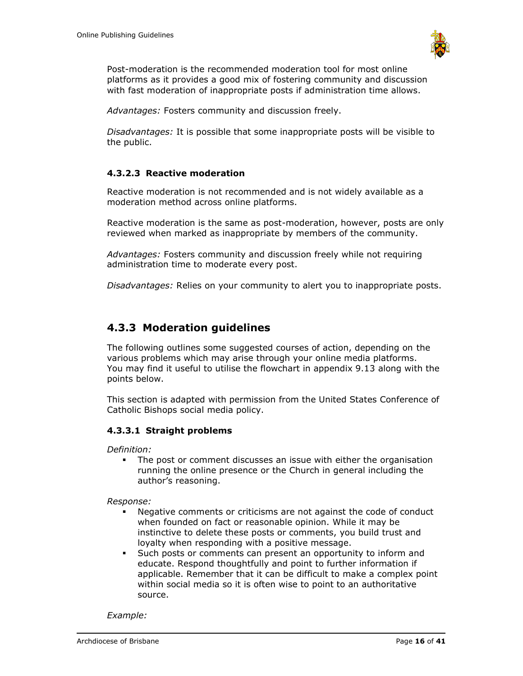

Post-moderation is the recommended moderation tool for most online platforms as it provides a good mix of fostering community and discussion with fast moderation of inappropriate posts if administration time allows.

*Advantages:* Fosters community and discussion freely.

*Disadvantages:* It is possible that some inappropriate posts will be visible to the public.

### <span id="page-15-0"></span>**4.3.2.3 Reactive moderation**

Reactive moderation is not recommended and is not widely available as a moderation method across online platforms.

Reactive moderation is the same as post-moderation, however, posts are only reviewed when marked as inappropriate by members of the community.

*Advantages:* Fosters community and discussion freely while not requiring administration time to moderate every post.

*Disadvantages:* Relies on your community to alert you to inappropriate posts.

## <span id="page-15-1"></span>**4.3.3 Moderation guidelines**

The following outlines some suggested courses of action, depending on the various problems which may arise through your online media platforms. You may find it useful to utilise the flowchart in appendix 9.13 along with the points below.

This section is adapted with permission from the United States Conference of Catholic Bishops social media policy.

### <span id="page-15-2"></span>**4.3.3.1 Straight problems**

*Definition:* 

The post or comment discusses an issue with either the organisation running the online presence or the Church in general including the author's reasoning.

#### *Response:*

- Negative comments or criticisms are not against the code of conduct when founded on fact or reasonable opinion. While it may be instinctive to delete these posts or comments, you build trust and loyalty when responding with a positive message.
- Such posts or comments can present an opportunity to inform and educate. Respond thoughtfully and point to further information if applicable. Remember that it can be difficult to make a complex point within social media so it is often wise to point to an authoritative source.

*Example:*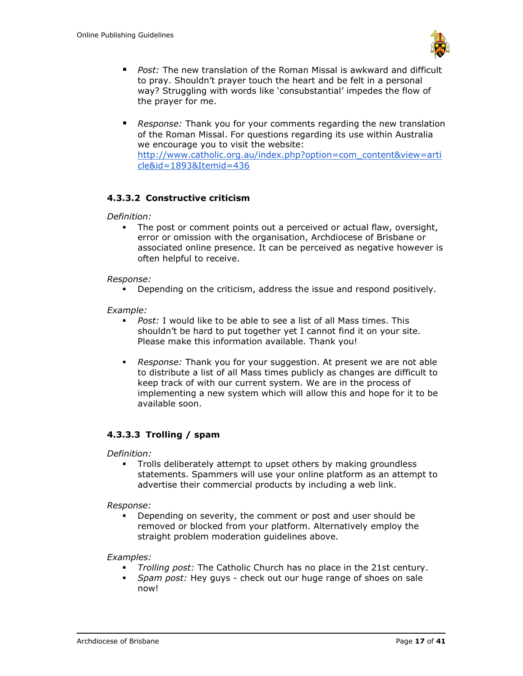

- *Post:* The new translation of the Roman Missal is awkward and difficult to pray. Shouldn't prayer touch the heart and be felt in a personal way? Struggling with words like 'consubstantial' impedes the flow of the prayer for me.
- *Response:* Thank you for your comments regarding the new translation of the Roman Missal. For questions regarding its use within Australia we encourage you to visit the website: [http://www.catholic.org.au/index.php?option=com\\_content&view=arti](http://www.catholic.org.au/index.php?option=com_content&view=article&id=1893&Itemid=436) [cle&id=1893&Itemid=436](http://www.catholic.org.au/index.php?option=com_content&view=article&id=1893&Itemid=436)

### <span id="page-16-0"></span>**4.3.3.2 Constructive criticism**

*Definition:* 

▪ The post or comment points out a perceived or actual flaw, oversight, error or omission with the organisation, Archdiocese of Brisbane or associated online presence. It can be perceived as negative however is often helpful to receive.

#### *Response:*

▪ Depending on the criticism, address the issue and respond positively.

*Example:*

- *Post:* I would like to be able to see a list of all Mass times. This shouldn't be hard to put together yet I cannot find it on your site. Please make this information available. Thank you!
- *Response:* Thank you for your suggestion. At present we are not able to distribute a list of all Mass times publicly as changes are difficult to keep track of with our current system. We are in the process of implementing a new system which will allow this and hope for it to be available soon.

### <span id="page-16-1"></span>**4.3.3.3 Trolling / spam**

*Definition:* 

**•** Trolls deliberately attempt to upset others by making groundless statements. Spammers will use your online platform as an attempt to advertise their commercial products by including a web link.

*Response:*

▪ Depending on severity, the comment or post and user should be removed or blocked from your platform. Alternatively employ the straight problem moderation guidelines above.

*Examples:*

- *Trolling post:* The Catholic Church has no place in the 21st century.
- *Spam post:* Hey guys check out our huge range of shoes on sale now!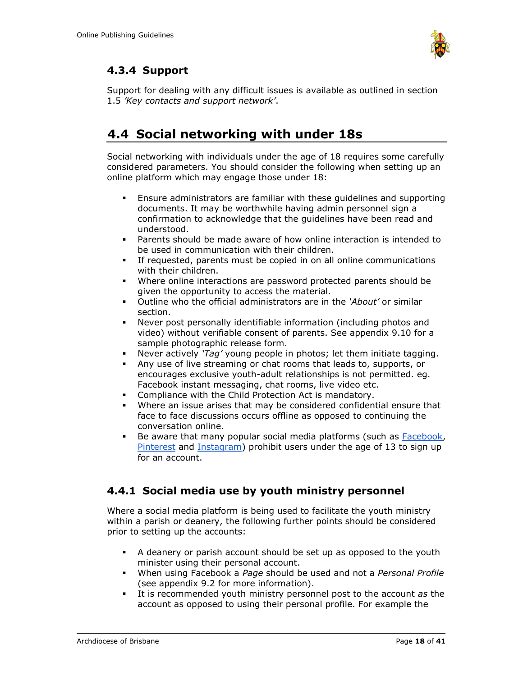

## <span id="page-17-0"></span>**4.3.4 Support**

Support for dealing with any difficult issues is available as outlined in section 1.5 *'Key contacts and support network'*.

# <span id="page-17-1"></span>**4.4 Social networking with under 18s**

Social networking with individuals under the age of 18 requires some carefully considered parameters. You should consider the following when setting up an online platform which may engage those under 18:

- Ensure administrators are familiar with these guidelines and supporting documents. It may be worthwhile having admin personnel sign a confirmation to acknowledge that the guidelines have been read and understood.
- Parents should be made aware of how online interaction is intended to be used in communication with their children.
- If requested, parents must be copied in on all online communications with their children.
- Where online interactions are password protected parents should be given the opportunity to access the material.
- Outline who the official administrators are in the *'About'* or similar section.
- Never post personally identifiable information (including photos and video) without verifiable consent of parents. See appendix 9.10 for a sample photographic release form.
- Never actively *'Tag'* young people in photos; let them initiate tagging.
- Any use of live streaming or chat rooms that leads to, supports, or encourages exclusive youth-adult relationships is not permitted. eg. Facebook instant messaging, chat rooms, live video etc.
- Compliance with the Child Protection Act is mandatory.
- Where an issue arises that may be considered confidential ensure that face to face discussions occurs offline as opposed to continuing the conversation online.
- **E** Be aware that many popular social media platforms (such as [Facebook,](https://www.facebook.com/help/345121355559712/) [Pinterest](http://about.pinterest.com/terms/) and [Instagram\)](http://instagram.com/about/legal/terms/) prohibit users under the age of 13 to sign up for an account.

## <span id="page-17-2"></span>**4.4.1 Social media use by youth ministry personnel**

Where a social media platform is being used to facilitate the youth ministry within a parish or deanery, the following further points should be considered prior to setting up the accounts:

- A deanery or parish account should be set up as opposed to the youth minister using their personal account.
- When using Facebook a *Page* should be used and not a *Personal Profile* (see appendix 9.2 for more information).
- It is recommended youth ministry personnel post to the account *as* the account as opposed to using their personal profile. For example the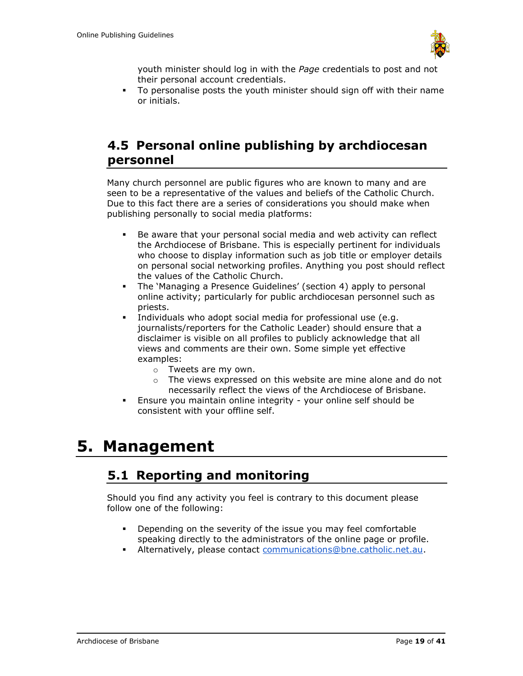

youth minister should log in with the *Page* credentials to post and not their personal account credentials.

To personalise posts the youth minister should sign off with their name or initials.

## <span id="page-18-0"></span>**4.5 Personal online publishing by archdiocesan personnel**

Many church personnel are public figures who are known to many and are seen to be a representative of the values and beliefs of the Catholic Church. Due to this fact there are a series of considerations you should make when publishing personally to social media platforms:

- Be aware that your personal social media and web activity can reflect the Archdiocese of Brisbane. This is especially pertinent for individuals who choose to display information such as job title or employer details on personal social networking profiles. Anything you post should reflect the values of the Catholic Church.
- The 'Managing a Presence Guidelines' (section 4) apply to personal online activity; particularly for public archdiocesan personnel such as priests.
- Individuals who adopt social media for professional use (e.g. journalists/reporters for the Catholic Leader) should ensure that a disclaimer is visible on all profiles to publicly acknowledge that all views and comments are their own. Some simple yet effective examples:
	- o Tweets are my own.
	- o The views expressed on this website are mine alone and do not necessarily reflect the views of the Archdiocese of Brisbane.
- **Ensure you maintain online integrity your online self should be** consistent with your offline self.

# <span id="page-18-2"></span><span id="page-18-1"></span>**5. Management**

## **5.1 Reporting and monitoring**

Should you find any activity you feel is contrary to this document please follow one of the following:

- Depending on the severity of the issue you may feel comfortable speaking directly to the administrators of the online page or profile.
- **EXECUTE:** Alternatively, please contact [communications@bne.catholic.net.au.](mailto:communications@bne.catholic.net.au)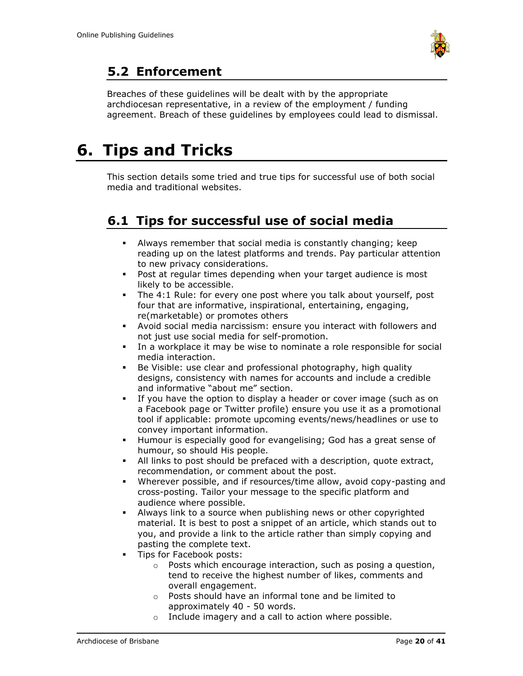

# <span id="page-19-0"></span>**5.2 Enforcement**

Breaches of these guidelines will be dealt with by the appropriate archdiocesan representative, in a review of the employment / funding agreement. Breach of these guidelines by employees could lead to dismissal.

# <span id="page-19-1"></span>**6. Tips and Tricks**

This section details some tried and true tips for successful use of both social media and traditional websites.

# <span id="page-19-2"></span>**6.1 Tips for successful use of social media**

- Always remember that social media is constantly changing; keep reading up on the latest platforms and trends. Pay particular attention to new privacy considerations.
- Post at regular times depending when your target audience is most likely to be accessible.
- The 4:1 Rule: for every one post where you talk about yourself, post four that are informative, inspirational, entertaining, engaging, re(marketable) or promotes others
- Avoid social media narcissism: ensure you interact with followers and not just use social media for self-promotion.
- In a workplace it may be wise to nominate a role responsible for social media interaction.
- **EXECT** Be Visible: use clear and professional photography, high quality designs, consistency with names for accounts and include a credible and informative "about me" section.
- **EXECT** If you have the option to display a header or cover image (such as on a Facebook page or Twitter profile) ensure you use it as a promotional tool if applicable: promote upcoming events/news/headlines or use to convey important information.
- Humour is especially good for evangelising; God has a great sense of humour, so should His people.
- All links to post should be prefaced with a description, quote extract, recommendation, or comment about the post.
- Wherever possible, and if resources/time allow, avoid copy-pasting and cross-posting. Tailor your message to the specific platform and audience where possible.
- Always link to a source when publishing news or other copyrighted material. It is best to post a snippet of an article, which stands out to you, and provide a link to the article rather than simply copying and pasting the complete text.
- **·** Tips for Facebook posts:
	- o Posts which encourage interaction, such as posing a question, tend to receive the highest number of likes, comments and overall engagement.
	- o Posts should have an informal tone and be limited to approximately 40 - 50 words.
	- o Include imagery and a call to action where possible.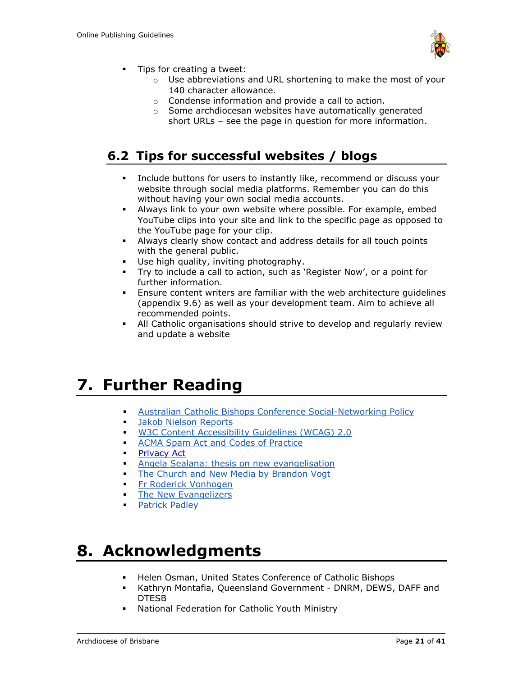

- Tips for creating a tweet:
	- o Use abbreviations and URL shortening to make the most of your 140 character allowance.
	- o Condense information and provide a call to action.
	- o Some archdiocesan websites have automatically generated short URLs – see the page in question for more information.

# <span id="page-20-0"></span>**6.2 Tips for successful websites / blogs**

- Include buttons for users to instantly like, recommend or discuss your website through social media platforms. Remember you can do this without having your own social media accounts.
- Always link to your own website where possible. For example, embed YouTube clips into your site and link to the specific page as opposed to the YouTube page for your clip.
- Always clearly show contact and address details for all touch points with the general public.
- Use high quality, inviting photography.
- Try to include a call to action, such as 'Register Now', or a point for further information.
- Ensure content writers are familiar with the web architecture guidelines (appendix 9.6) as well as your development team. Aim to achieve all recommended points.
- **EXECT All Catholic organisations should strive to develop and regularly review** and update a website

# <span id="page-20-1"></span>**7. Further Reading**

- **EXECUTE:** [Australian Catholic Bishops Conference Social-Networking Policy](http://mediablog.catholic.org.au/?p=335)
- **Brand Blacks** [Jakob Nielson Reports](http://www.nngroup.com/reports/)
- [W3C Content Accessibility Guidelines \(WCAG\) 2.0](http://www.w3.org/TR/WCAG20/)
- **EXECUTE:** [ACMA Spam Act and Codes of Practice](http://www.acma.gov.au/WEB/STANDARD/)
- **[Privacy Act](http://www.comlaw.gov.au/Details/C2014C00076)**
- **EXEC** [Angela Sealana: thesis on new evangelisation](http://www.slideshare.net/inspiredangela/new-media-new-evangelization-the-unique-benefits-of-new-media-and-why-the-catholic-church-should-engage-them)
- [The Church and New Media by Brandon Vogt](http://www.churchandnewmedia.com/)
- **Example [Fr Roderick Vonhogen](http://www.fatherroderick.com/)**
- **[The New Evangelizers](http://newevangelizers.com/)**
- [Patrick Padley](http://www.patrickpadley.com/)

# <span id="page-20-2"></span>**8. Acknowledgments**

- Helen Osman, United States Conference of Catholic Bishops
- Kathryn Montafia, Queensland Government DNRM, DEWS, DAFF and DTESB
- National Federation for Catholic Youth Ministry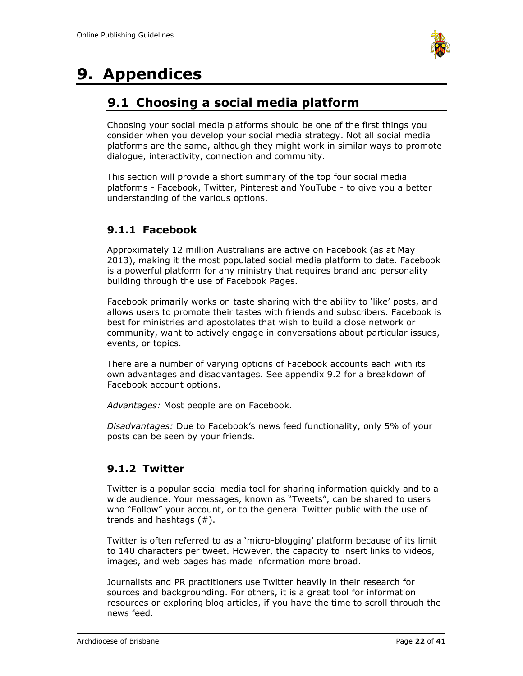

# <span id="page-21-1"></span><span id="page-21-0"></span>**9. Appendices**

# **9.1 Choosing a social media platform**

Choosing your social media platforms should be one of the first things you consider when you develop your social media strategy. Not all social media platforms are the same, although they might work in similar ways to promote dialogue, interactivity, connection and community.

This section will provide a short summary of the top four social media platforms - Facebook, Twitter, Pinterest and YouTube - to give you a better understanding of the various options.

## <span id="page-21-2"></span>**9.1.1 Facebook**

Approximately 12 million Australians are active on Facebook (as at May 2013), making it the most populated social media platform to date. Facebook is a powerful platform for any ministry that requires brand and personality building through the use of Facebook Pages.

Facebook primarily works on taste sharing with the ability to 'like' posts, and allows users to promote their tastes with friends and subscribers. Facebook is best for ministries and apostolates that wish to build a close network or community, want to actively engage in conversations about particular issues, events, or topics.

There are a number of varying options of Facebook accounts each with its own advantages and disadvantages. See appendix 9.2 for a breakdown of Facebook account options.

*Advantages:* Most people are on Facebook.

*Disadvantages:* Due to Facebook's news feed functionality, only 5% of your posts can be seen by your friends.

## <span id="page-21-3"></span>**9.1.2 Twitter**

Twitter is a popular social media tool for sharing information quickly and to a wide audience. Your messages, known as "Tweets", can be shared to users who "Follow" your account, or to the general Twitter public with the use of trends and hashtags (#).

Twitter is often referred to as a 'micro-blogging' platform because of its limit to 140 characters per tweet. However, the capacity to insert links to videos, images, and web pages has made information more broad.

Journalists and PR practitioners use Twitter heavily in their research for sources and backgrounding. For others, it is a great tool for information resources or exploring blog articles, if you have the time to scroll through the news feed.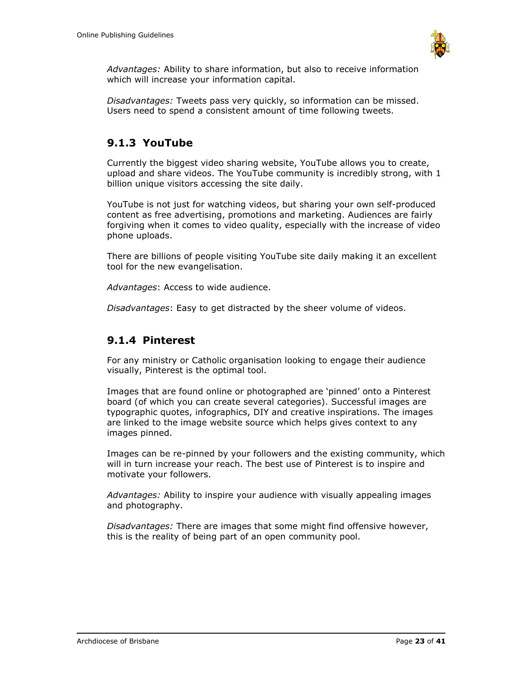

*Advantages:* Ability to share information, but also to receive information which will increase your information capital.

*Disadvantages:* Tweets pass very quickly, so information can be missed. Users need to spend a consistent amount of time following tweets.

## <span id="page-22-0"></span>**9.1.3 YouTube**

Currently the biggest video sharing website, YouTube allows you to create, upload and share videos. The YouTube community is incredibly strong, with 1 billion unique visitors accessing the site daily.

YouTube is not just for watching videos, but sharing your own self-produced content as free advertising, promotions and marketing. Audiences are fairly forgiving when it comes to video quality, especially with the increase of video phone uploads.

There are billions of people visiting YouTube site daily making it an excellent tool for the new evangelisation.

*Advantages*: Access to wide audience.

*Disadvantages*: Easy to get distracted by the sheer volume of videos.

## <span id="page-22-1"></span>**9.1.4 Pinterest**

For any ministry or Catholic organisation looking to engage their audience visually, Pinterest is the optimal tool.

Images that are found online or photographed are 'pinned' onto a Pinterest board (of which you can create several categories). Successful images are typographic quotes, infographics, DIY and creative inspirations. The images are linked to the image website source which helps gives context to any images pinned.

Images can be re-pinned by your followers and the existing community, which will in turn increase your reach. The best use of Pinterest is to inspire and motivate your followers.

*Advantages:* Ability to inspire your audience with visually appealing images and photography.

*Disadvantages:* There are images that some might find offensive however, this is the reality of being part of an open community pool.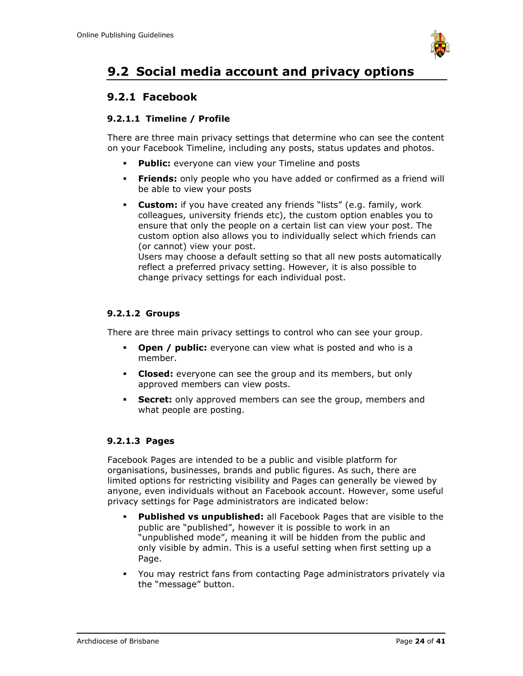

# <span id="page-23-0"></span>**9.2 Social media account and privacy options**

## <span id="page-23-1"></span>**9.2.1 Facebook**

### <span id="page-23-2"></span>**9.2.1.1 Timeline / Profile**

There are three main privacy settings that determine who can see the content on your Facebook Timeline, including any posts, status updates and photos.

- **Public:** everyone can view your Timeline and posts
- **Friends:** only people who you have added or confirmed as a friend will be able to view your posts
- **Custom:** if you have created any friends "lists" (e.g. family, work colleagues, university friends etc), the custom option enables you to ensure that only the people on a certain list can view your post. The custom option also allows you to individually select which friends can (or cannot) view your post.

Users may choose a default setting so that all new posts automatically reflect a preferred privacy setting. However, it is also possible to change privacy settings for each individual post.

### <span id="page-23-3"></span>**9.2.1.2 Groups**

There are three main privacy settings to control who can see your group.

- **Open / public:** everyone can view what is posted and who is a member.
- **Closed:** everyone can see the group and its members, but only approved members can view posts.
- **Secret:** only approved members can see the group, members and what people are posting.

### <span id="page-23-4"></span>**9.2.1.3 Pages**

Facebook Pages are intended to be a public and visible platform for organisations, businesses, brands and public figures. As such, there are limited options for restricting visibility and Pages can generally be viewed by anyone, even individuals without an Facebook account. However, some useful privacy settings for Page administrators are indicated below:

- Published vs unpublished: all Facebook Pages that are visible to the public are "published", however it is possible to work in an "unpublished mode", meaning it will be hidden from the public and only visible by admin. This is a useful setting when first setting up a Page.
- You may restrict fans from contacting Page administrators privately via the "message" button.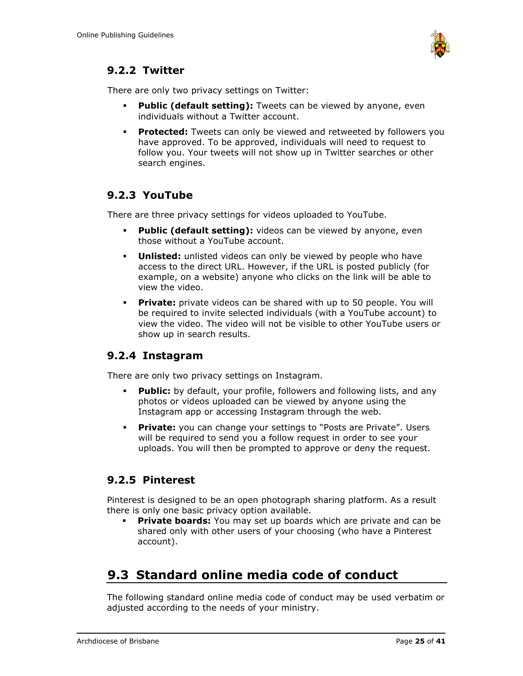

## <span id="page-24-0"></span>**9.2.2 Twitter**

There are only two privacy settings on Twitter:

- **Public (default setting):** Tweets can be viewed by anyone, even individuals without a Twitter account.
- **Protected:** Tweets can only be viewed and retweeted by followers you have approved. To be approved, individuals will need to request to follow you. Your tweets will not show up in Twitter searches or other search engines.

## <span id="page-24-1"></span>**9.2.3 YouTube**

There are three privacy settings for videos uploaded to YouTube.

- **Public (default setting):** videos can be viewed by anyone, even those without a YouTube account.
- **Unlisted:** unlisted videos can only be viewed by people who have access to the direct URL. However, if the URL is posted publicly (for example, on a website) anyone who clicks on the link will be able to view the video.
- **Private:** private videos can be shared with up to 50 people. You will be required to invite selected individuals (with a YouTube account) to view the video. The video will not be visible to other YouTube users or show up in search results.

## <span id="page-24-2"></span>**9.2.4 Instagram**

There are only two privacy settings on Instagram.

- **Public:** by default, your profile, followers and following lists, and any photos or videos uploaded can be viewed by anyone using the Instagram app or accessing Instagram through the web.
- **Private:** you can change your settings to "Posts are Private". Users will be required to send you a follow request in order to see your uploads. You will then be prompted to approve or deny the request.

## <span id="page-24-3"></span>**9.2.5 Pinterest**

Pinterest is designed to be an open photograph sharing platform. As a result there is only one basic privacy option available.

▪ **Private boards:** You may set up boards which are private and can be shared only with other users of your choosing (who have a Pinterest account).

# <span id="page-24-4"></span>**9.3 Standard online media code of conduct**

The following standard online media code of conduct may be used verbatim or adjusted according to the needs of your ministry.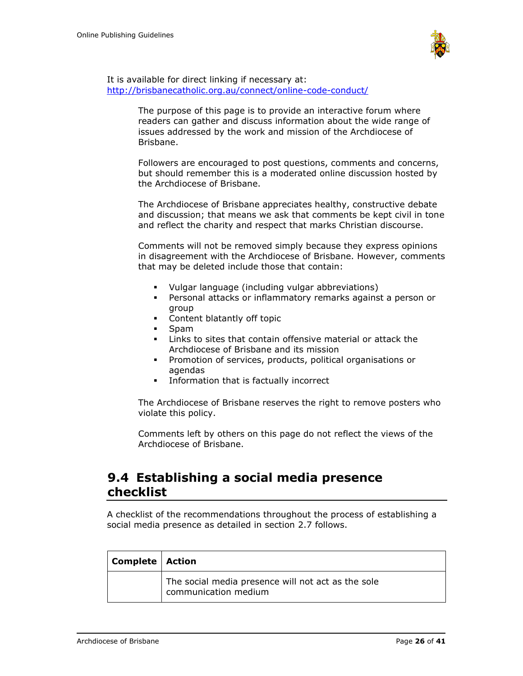

It is available for direct linking if necessary at: <http://brisbanecatholic.org.au/connect/online-code-conduct/>

> The purpose of this page is to provide an interactive forum where readers can gather and discuss information about the wide range of issues addressed by the work and mission of the Archdiocese of Brisbane.

Followers are encouraged to post questions, comments and concerns, but should remember this is a moderated online discussion hosted by the Archdiocese of Brisbane.

The Archdiocese of Brisbane appreciates healthy, constructive debate and discussion; that means we ask that comments be kept civil in tone and reflect the charity and respect that marks Christian discourse.

Comments will not be removed simply because they express opinions in disagreement with the Archdiocese of Brisbane. However, comments that may be deleted include those that contain:

- Vulgar language (including vulgar abbreviations)
- Personal attacks or inflammatory remarks against a person or group
- Content blatantly off topic
- Spam
- Links to sites that contain offensive material or attack the Archdiocese of Brisbane and its mission
- Promotion of services, products, political organisations or agendas
- **•** Information that is factually incorrect

The Archdiocese of Brisbane reserves the right to remove posters who violate this policy.

Comments left by others on this page do not reflect the views of the Archdiocese of Brisbane.

## <span id="page-25-0"></span>**9.4 Establishing a social media presence checklist**

A checklist of the recommendations throughout the process of establishing a social media presence as detailed in section 2.7 follows.

| <b>Complete</b>   Action |                                                                            |
|--------------------------|----------------------------------------------------------------------------|
|                          | The social media presence will not act as the sole<br>communication medium |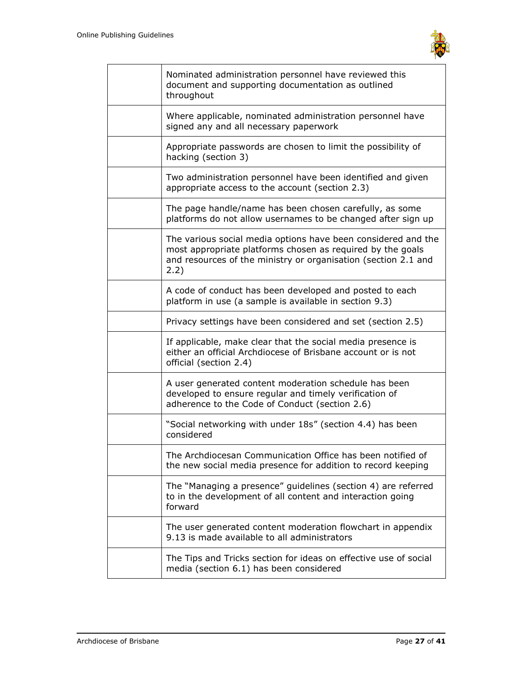

| Nominated administration personnel have reviewed this<br>document and supporting documentation as outlined<br>throughout                                                                              |
|-------------------------------------------------------------------------------------------------------------------------------------------------------------------------------------------------------|
| Where applicable, nominated administration personnel have<br>signed any and all necessary paperwork                                                                                                   |
| Appropriate passwords are chosen to limit the possibility of<br>hacking (section 3)                                                                                                                   |
| Two administration personnel have been identified and given<br>appropriate access to the account (section 2.3)                                                                                        |
| The page handle/name has been chosen carefully, as some<br>platforms do not allow usernames to be changed after sign up                                                                               |
| The various social media options have been considered and the<br>most appropriate platforms chosen as required by the goals<br>and resources of the ministry or organisation (section 2.1 and<br>2.2) |
| A code of conduct has been developed and posted to each<br>platform in use (a sample is available in section 9.3)                                                                                     |
| Privacy settings have been considered and set (section 2.5)                                                                                                                                           |
| If applicable, make clear that the social media presence is<br>either an official Archdiocese of Brisbane account or is not<br>official (section 2.4)                                                 |
| A user generated content moderation schedule has been<br>developed to ensure regular and timely verification of<br>adherence to the Code of Conduct (section 2.6)                                     |
| "Social networking with under 18s" (section 4.4) has been<br>considered                                                                                                                               |
| The Archdiocesan Communication Office has been notified of<br>the new social media presence for addition to record keeping                                                                            |
| The "Managing a presence" guidelines (section 4) are referred<br>to in the development of all content and interaction going<br>forward                                                                |
| The user generated content moderation flowchart in appendix<br>9.13 is made available to all administrators                                                                                           |
| The Tips and Tricks section for ideas on effective use of social<br>media (section 6.1) has been considered                                                                                           |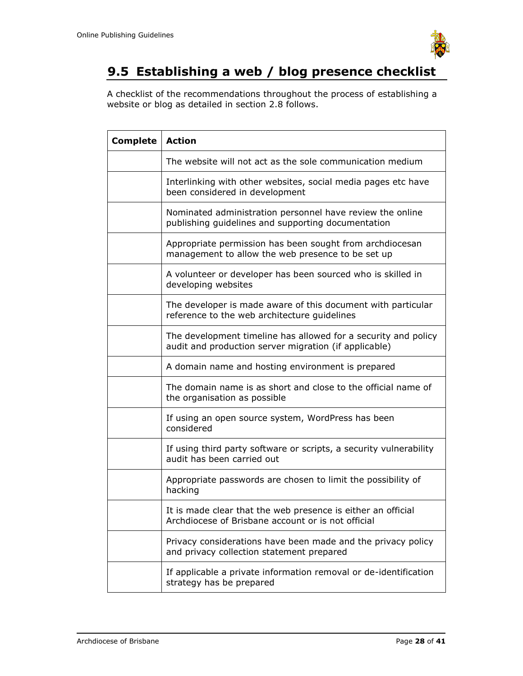

# <span id="page-27-0"></span>**9.5 Establishing a web / blog presence checklist**

A checklist of the recommendations throughout the process of establishing a website or blog as detailed in section 2.8 follows.

| <b>Complete</b> | <b>Action</b>                                                                                                           |
|-----------------|-------------------------------------------------------------------------------------------------------------------------|
|                 | The website will not act as the sole communication medium                                                               |
|                 | Interlinking with other websites, social media pages etc have<br>been considered in development                         |
|                 | Nominated administration personnel have review the online<br>publishing guidelines and supporting documentation         |
|                 | Appropriate permission has been sought from archdiocesan<br>management to allow the web presence to be set up           |
|                 | A volunteer or developer has been sourced who is skilled in<br>developing websites                                      |
|                 | The developer is made aware of this document with particular<br>reference to the web architecture guidelines            |
|                 | The development timeline has allowed for a security and policy<br>audit and production server migration (if applicable) |
|                 | A domain name and hosting environment is prepared                                                                       |
|                 | The domain name is as short and close to the official name of<br>the organisation as possible                           |
|                 | If using an open source system, WordPress has been<br>considered                                                        |
|                 | If using third party software or scripts, a security vulnerability<br>audit has been carried out                        |
|                 | Appropriate passwords are chosen to limit the possibility of<br>hacking                                                 |
|                 | It is made clear that the web presence is either an official<br>Archdiocese of Brisbane account or is not official      |
|                 | Privacy considerations have been made and the privacy policy<br>and privacy collection statement prepared               |
|                 | If applicable a private information removal or de-identification<br>strategy has be prepared                            |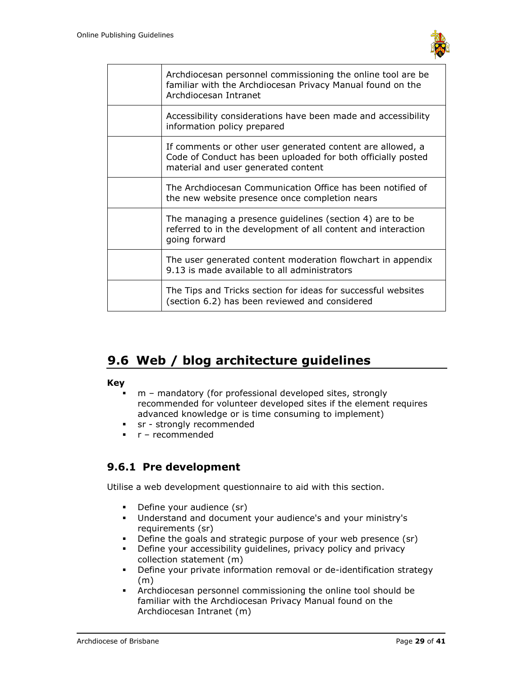

| Archdiocesan personnel commissioning the online tool are be<br>familiar with the Archdiocesan Privacy Manual found on the<br>Archdiocesan Intranet                |
|-------------------------------------------------------------------------------------------------------------------------------------------------------------------|
| Accessibility considerations have been made and accessibility<br>information policy prepared                                                                      |
| If comments or other user generated content are allowed, a<br>Code of Conduct has been uploaded for both officially posted<br>material and user generated content |
| The Archdiocesan Communication Office has been notified of<br>the new website presence once completion nears                                                      |
| The managing a presence guidelines (section 4) are to be<br>referred to in the development of all content and interaction<br>going forward                        |
| The user generated content moderation flowchart in appendix<br>9.13 is made available to all administrators                                                       |
| The Tips and Tricks section for ideas for successful websites<br>(section 6.2) has been reviewed and considered                                                   |

# <span id="page-28-0"></span>**9.6 Web / blog architecture guidelines**

#### **Key**

- m mandatory (for professional developed sites, strongly recommended for volunteer developed sites if the element requires advanced knowledge or is time consuming to implement)
- **•** sr strongly recommended
- r recommended

## <span id="page-28-1"></span>**9.6.1 Pre development**

Utilise a web development questionnaire to aid with this section.

- Define your audience (sr)<br>■ Understand and document
- Understand and document your audience's and your ministry's requirements (sr)
- Define the goals and strategic purpose of your web presence (sr)
- **•** Define your accessibility guidelines, privacy policy and privacy collection statement (m)
- Define your private information removal or de-identification strategy (m)
- Archdiocesan personnel commissioning the online tool should be familiar with the Archdiocesan Privacy Manual found on the Archdiocesan Intranet (m)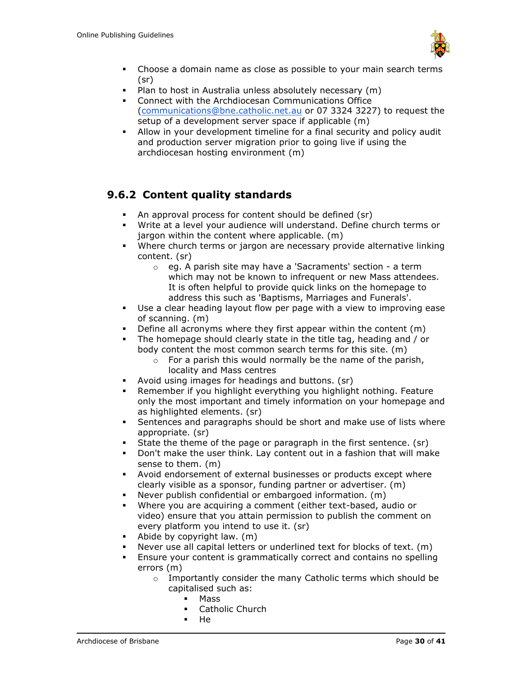

- Choose a domain name as close as possible to your main search terms (sr)
- Plan to host in Australia unless absolutely necessary (m)
- Connect with the Archdiocesan Communications Office [\(communications@bne.catholic.net.au](mailto:communications@bne.catholic.net.au) or 07 3324 3227) to request the setup of a development server space if applicable (m)
- Allow in your development timeline for a final security and policy audit and production server migration prior to going live if using the archdiocesan hosting environment (m)

## <span id="page-29-0"></span>**9.6.2 Content quality standards**

- An approval process for content should be defined (sr)
- Write at a level your audience will understand. Define church terms or jargon within the content where applicable. (m)
- Where church terms or jargon are necessary provide alternative linking content. (sr)
	- o eg. A parish site may have a 'Sacraments' section a term which may not be known to infrequent or new Mass attendees. It is often helpful to provide quick links on the homepage to address this such as 'Baptisms, Marriages and Funerals'.
- Use a clear heading layout flow per page with a view to improving ease of scanning. (m)
- Define all acronyms where they first appear within the content  $(m)$
- The homepage should clearly state in the title tag, heading and / or body content the most common search terms for this site. (m)
	- $\circ$  For a parish this would normally be the name of the parish, locality and Mass centres
- Avoid using images for headings and buttons. (sr)
- **EXECT:** Remember if you highlight everything you highlight nothing. Feature only the most important and timely information on your homepage and as highlighted elements. (sr)
- **EXE** Sentences and paragraphs should be short and make use of lists where appropriate. (sr)
- State the theme of the page or paragraph in the first sentence. (sr)
- Don't make the user think. Lay content out in a fashion that will make sense to them. (m)
- Avoid endorsement of external businesses or products except where clearly visible as a sponsor, funding partner or advertiser. (m)
- Never publish confidential or embargoed information. (m)
- Where you are acquiring a comment (either text-based, audio or video) ensure that you attain permission to publish the comment on every platform you intend to use it. (sr)
- Abide by copyright law.  $(m)$
- Never use all capital letters or underlined text for blocks of text. (m)
- **Ensure your content is grammatically correct and contains no spelling** errors (m)
	- o Importantly consider the many Catholic terms which should be capitalised such as:
		- **Mass**
		- Catholic Church
		- $He$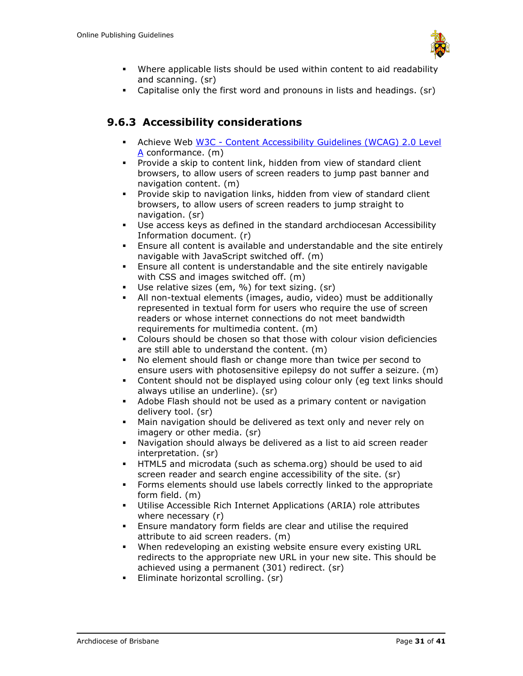

- Where applicable lists should be used within content to aid readability and scanning. (sr)
- Capitalise only the first word and pronouns in lists and headings. (sr)

## <span id="page-30-0"></span>**9.6.3 Accessibility considerations**

- Achieve Web W3C [Content Accessibility Guidelines \(WCAG\) 2.0 Level](http://www.w3.org/TR/WCAG20/)  [A](http://www.w3.org/TR/WCAG20/) conformance. (m)
- Provide a skip to content link, hidden from view of standard client browsers, to allow users of screen readers to jump past banner and navigation content. (m)
- Provide skip to navigation links, hidden from view of standard client browsers, to allow users of screen readers to jump straight to navigation. (sr)
- Use access keys as defined in the standard archdiocesan Accessibility Information document. (r)
- Ensure all content is available and understandable and the site entirely navigable with JavaScript switched off. (m)
- Ensure all content is understandable and the site entirely navigable with CSS and images switched off. (m)
- Use relative sizes (em, %) for text sizing. (sr)
- All non-textual elements (images, audio, video) must be additionally represented in textual form for users who require the use of screen readers or whose internet connections do not meet bandwidth requirements for multimedia content. (m)
- Colours should be chosen so that those with colour vision deficiencies are still able to understand the content. (m)
- No element should flash or change more than twice per second to ensure users with photosensitive epilepsy do not suffer a seizure. (m)
- Content should not be displayed using colour only (eg text links should always utilise an underline). (sr)
- Adobe Flash should not be used as a primary content or navigation delivery tool. (sr)
- Main navigation should be delivered as text only and never rely on imagery or other media. (sr)
- Navigation should always be delivered as a list to aid screen reader interpretation. (sr)
- HTML5 and microdata (such as schema.org) should be used to aid screen reader and search engine accessibility of the site. (sr)
- Forms elements should use labels correctly linked to the appropriate form field. (m)
- Utilise Accessible Rich Internet Applications (ARIA) role attributes where necessary (r)
- **Ensure mandatory form fields are clear and utilise the required** attribute to aid screen readers. (m)
- When redeveloping an existing website ensure every existing URL redirects to the appropriate new URL in your new site. This should be achieved using a permanent (301) redirect. (sr)
- **Eliminate horizontal scrolling. (sr)**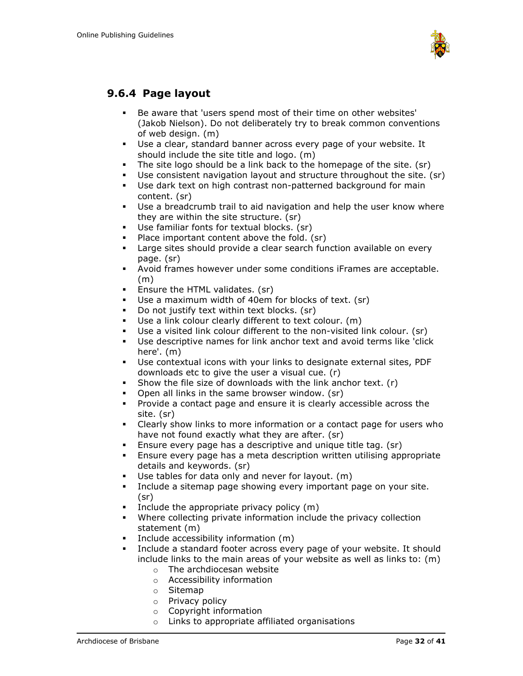

## <span id="page-31-0"></span>**9.6.4 Page layout**

- Be aware that 'users spend most of their time on other websites' (Jakob Nielson). Do not deliberately try to break common conventions of web design. (m)
- Use a clear, standard banner across every page of your website. It should include the site title and logo. (m)
- The site logo should be a link back to the homepage of the site. (sr)
- Use consistent navigation layout and structure throughout the site. (sr)
- Use dark text on high contrast non-patterned background for main content. (sr)
- Use a breadcrumb trail to aid navigation and help the user know where they are within the site structure. (sr)
- Use familiar fonts for textual blocks. (sr)
- Place important content above the fold. (sr)
- **EXEC** Large sites should provide a clear search function available on every page. (sr)
- Avoid frames however under some conditions iFrames are acceptable. (m)
- **E** Ensure the HTML validates. (sr)
- Use a maximum width of 40em for blocks of text. (sr)
- Do not justify text within text blocks. (sr)
- Use a link colour clearly different to text colour. (m)
- Use a visited link colour different to the non-visited link colour. (sr)
- Use descriptive names for link anchor text and avoid terms like 'click here'. (m)
- Use contextual icons with your links to designate external sites, PDF downloads etc to give the user a visual cue. (r)
- **•** Show the file size of downloads with the link anchor text.  $(r)$
- Open all links in the same browser window. (sr)
- Provide a contact page and ensure it is clearly accessible across the site. (sr)
- Clearly show links to more information or a contact page for users who have not found exactly what they are after. (sr)
- **Ensure every page has a descriptive and unique title tag. (sr)**
- Ensure every page has a meta description written utilising appropriate details and keywords. (sr)
- Use tables for data only and never for layout.  $(m)$
- Include a sitemap page showing every important page on your site. (sr)
- Include the appropriate privacy policy (m)
- Where collecting private information include the privacy collection statement (m)
- Include accessibility information (m)
- Include a standard footer across every page of your website. It should include links to the main areas of your website as well as links to: (m)
	- o The archdiocesan website
	- o Accessibility information
	- o Sitemap
	- o Privacy policy
	- o Copyright information
	- o Links to appropriate affiliated organisations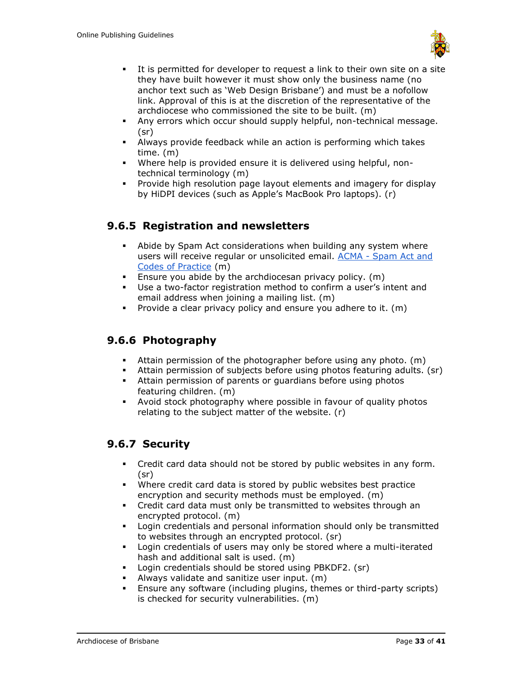

- It is permitted for developer to request a link to their own site on a site they have built however it must show only the business name (no anchor text such as 'Web Design Brisbane') and must be a nofollow link. Approval of this is at the discretion of the representative of the archdiocese who commissioned the site to be built. (m)
- Any errors which occur should supply helpful, non-technical message. (sr)
- Always provide feedback while an action is performing which takes time. (m)
- Where help is provided ensure it is delivered using helpful, nontechnical terminology (m)
- Provide high resolution page layout elements and imagery for display by HiDPI devices (such as Apple's MacBook Pro laptops). (r)

## <span id="page-32-0"></span>**9.6.5 Registration and newsletters**

- **EXED** Abide by Spam Act considerations when building any system where users will receive regular or unsolicited email. ACMA - [Spam Act and](http://www.acma.gov.au/scripts/nc.dll?WEB/STANDARD/1001/pc=PC_310321)  [Codes of Practice](http://www.acma.gov.au/scripts/nc.dll?WEB/STANDARD/1001/pc=PC_310321) (m)
- **Ensure you abide by the archdiocesan privacy policy.** (m)
- Use a two-factor registration method to confirm a user's intent and email address when joining a mailing list. (m)
- **•** Provide a clear privacy policy and ensure you adhere to it. (m)

## <span id="page-32-1"></span>**9.6.6 Photography**

- **E** Attain permission of the photographer before using any photo.  $(m)$
- Attain permission of subjects before using photos featuring adults. (sr)
- **EXECT** Attain permission of parents or quardians before using photos featuring children. (m)
- Avoid stock photography where possible in favour of quality photos relating to the subject matter of the website. (r)

## <span id="page-32-2"></span>**9.6.7 Security**

- Credit card data should not be stored by public websites in any form. (sr)
- Where credit card data is stored by public websites best practice encryption and security methods must be employed. (m)
- Credit card data must only be transmitted to websites through an encrypted protocol. (m)
- Login credentials and personal information should only be transmitted to websites through an encrypted protocol. (sr)
- Login credentials of users may only be stored where a multi-iterated hash and additional salt is used. (m)
- Login credentials should be stored using PBKDF2. (sr)
- Always validate and sanitize user input. (m)
- Ensure any software (including plugins, themes or third-party scripts) is checked for security vulnerabilities. (m)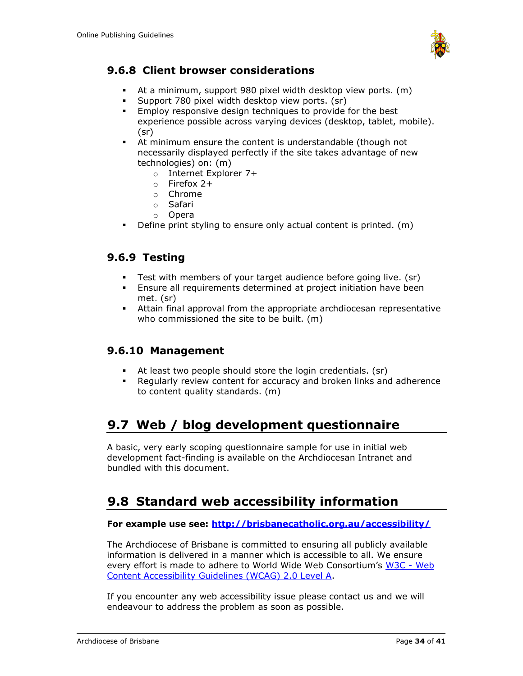

## <span id="page-33-0"></span>**9.6.8 Client browser considerations**

- At a minimum, support 980 pixel width desktop view ports. (m)
- Support 780 pixel width desktop view ports. (sr)
- **Employ responsive design techniques to provide for the best** experience possible across varying devices (desktop, tablet, mobile). (sr)
- At minimum ensure the content is understandable (though not necessarily displayed perfectly if the site takes advantage of new technologies) on: (m)
	- o Internet Explorer 7+
	- o Firefox 2+
	- o Chrome
	- o Safari
	- o Opera
- Define print styling to ensure only actual content is printed. (m)

### <span id="page-33-1"></span>**9.6.9 Testing**

- **EXECT** Test with members of your target audience before going live. (sr)
- **Ensure all requirements determined at project initiation have been** met. (sr)
- Attain final approval from the appropriate archdiocesan representative who commissioned the site to be built. (m)

## <span id="page-33-2"></span>**9.6.10 Management**

- At least two people should store the login credentials. (sr)
- Regularly review content for accuracy and broken links and adherence to content quality standards. (m)

# <span id="page-33-3"></span>**9.7 Web / blog development questionnaire**

A basic, very early scoping questionnaire sample for use in initial web development fact-finding is available on the Archdiocesan Intranet and bundled with this document.

## <span id="page-33-4"></span>**9.8 Standard web accessibility information**

#### **For example use see:<http://brisbanecatholic.org.au/accessibility/>**

The Archdiocese of Brisbane is committed to ensuring all publicly available information is delivered in a manner which is accessible to all. We ensure every effort is made to adhere to World Wide Web Consortium's [W3C -](http://www.w3.org/TR/WCAG20/) Web [Content Accessibility Guidelines \(WCAG\) 2.0 Level A.](http://www.w3.org/TR/WCAG20/)

If you encounter any web accessibility issue please contact us and we will endeavour to address the problem as soon as possible.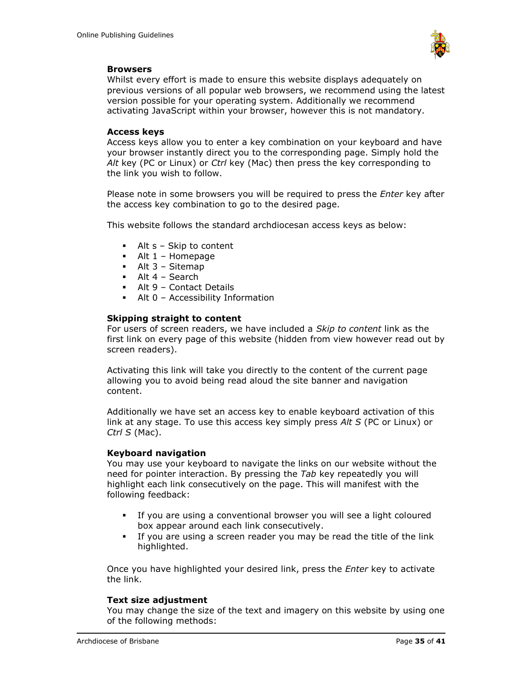

#### **Browsers**

Whilst every effort is made to ensure this website displays adequately on previous versions of all popular web browsers, we recommend using the latest version possible for your operating system. Additionally we recommend activating JavaScript within your browser, however this is not mandatory.

#### **Access keys**

Access keys allow you to enter a key combination on your keyboard and have your browser instantly direct you to the corresponding page. Simply hold the *Alt* key (PC or Linux) or *Ctrl* key (Mac) then press the key corresponding to the link you wish to follow.

Please note in some browsers you will be required to press the *Enter* key after the access key combination to go to the desired page.

This website follows the standard archdiocesan access keys as below:

- $\blacksquare$  Alt s Skip to content
- $\blacksquare$  Alt 1 Homepage
- $\blacksquare$  Alt 3 Sitemap
- $\blacksquare$  Alt 4 Search
- Alt 9 Contact Details
- Alt 0 Accessibility Information

#### **Skipping straight to content**

For users of screen readers, we have included a *Skip to content* link as the first link on every page of this website (hidden from view however read out by screen readers).

Activating this link will take you directly to the content of the current page allowing you to avoid being read aloud the site banner and navigation content.

Additionally we have set an access key to enable keyboard activation of this link at any stage. To use this access key simply press *Alt S* (PC or Linux) or *Ctrl S* (Mac).

#### **Keyboard navigation**

You may use your keyboard to navigate the links on our website without the need for pointer interaction. By pressing the *Tab* key repeatedly you will highlight each link consecutively on the page. This will manifest with the following feedback:

- If you are using a conventional browser you will see a light coloured box appear around each link consecutively.
- If you are using a screen reader you may be read the title of the link highlighted.

Once you have highlighted your desired link, press the *Enter* key to activate the link.

#### **Text size adjustment**

You may change the size of the text and imagery on this website by using one of the following methods: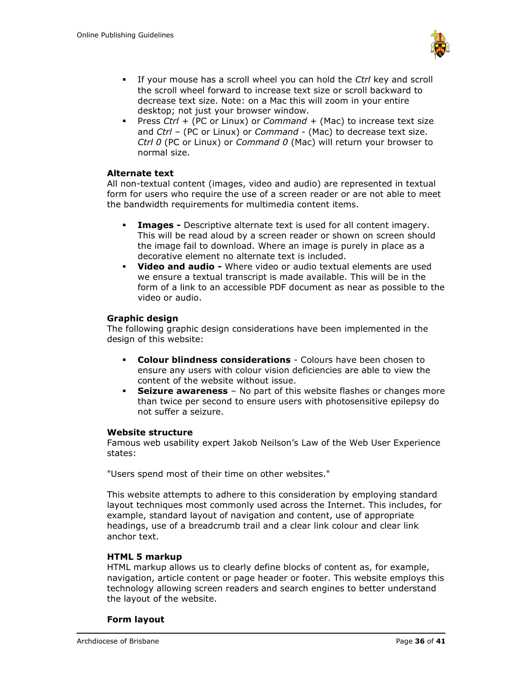

- If your mouse has a scroll wheel you can hold the *Ctrl* key and scroll the scroll wheel forward to increase text size or scroll backward to decrease text size. Note: on a Mac this will zoom in your entire desktop; not just your browser window.
- Press *Ctrl +* (PC or Linux) or *Command +* (Mac) to increase text size and *Ctrl –* (PC or Linux) or *Command -* (Mac) to decrease text size. *Ctrl 0* (PC or Linux) or *Command 0* (Mac) will return your browser to normal size.

#### **Alternate text**

All non-textual content (images, video and audio) are represented in textual form for users who require the use of a screen reader or are not able to meet the bandwidth requirements for multimedia content items.

- **Images -** Descriptive alternate text is used for all content imagery. This will be read aloud by a screen reader or shown on screen should the image fail to download. Where an image is purely in place as a decorative element no alternate text is included.
- **Video and audio -** Where video or audio textual elements are used we ensure a textual transcript is made available. This will be in the form of a link to an accessible PDF document as near as possible to the video or audio.

#### **Graphic design**

The following graphic design considerations have been implemented in the design of this website:

- **Colour blindness considerations** Colours have been chosen to ensure any users with colour vision deficiencies are able to view the content of the website without issue.
- **Seizure awareness** No part of this website flashes or changes more than twice per second to ensure users with photosensitive epilepsy do not suffer a seizure.

#### **Website structure**

Famous web usability expert Jakob Neilson's Law of the Web User Experience states:

"Users spend most of their time on other websites."

This website attempts to adhere to this consideration by employing standard layout techniques most commonly used across the Internet. This includes, for example, standard layout of navigation and content, use of appropriate headings, use of a breadcrumb trail and a clear link colour and clear link anchor text.

#### **HTML 5 markup**

HTML markup allows us to clearly define blocks of content as, for example, navigation, article content or page header or footer. This website employs this technology allowing screen readers and search engines to better understand the layout of the website.

#### **Form layout**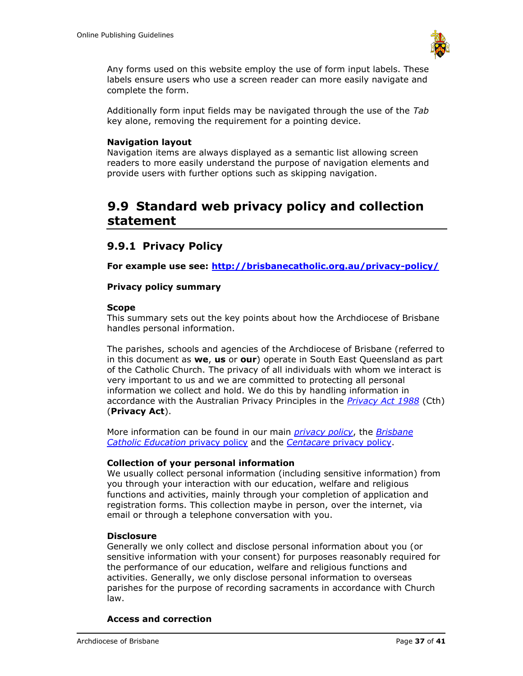

Any forms used on this website employ the use of form input labels. These labels ensure users who use a screen reader can more easily navigate and complete the form.

Additionally form input fields may be navigated through the use of the *Tab* key alone, removing the requirement for a pointing device.

#### **Navigation layout**

Navigation items are always displayed as a semantic list allowing screen readers to more easily understand the purpose of navigation elements and provide users with further options such as skipping navigation.

## <span id="page-36-0"></span>**9.9 Standard web privacy policy and collection statement**

### <span id="page-36-1"></span>**9.9.1 Privacy Policy**

**For example use see:<http://brisbanecatholic.org.au/privacy-policy/>**

#### **Privacy policy summary**

#### **Scope**

This summary sets out the key points about how the Archdiocese of Brisbane handles personal information.

The parishes, schools and agencies of the Archdiocese of Brisbane (referred to in this document as **we**, **us** or **our**) operate in South East Queensland as part of the Catholic Church. The privacy of all individuals with whom we interact is very important to us and we are committed to protecting all personal information we collect and hold. We do this by handling information in accordance with the Australian Privacy Principles in the *[Privacy Act 1988](http://www.comlaw.gov.au/Details/C2014C00076)* (Cth) (**Privacy Act**).

More information can be found in our main *[privacy policy](http://brisbanecatholic.org.au/assets/uploads/privacy-policy.pdf)*, the *[Brisbane](http://www.bne.catholic.edu.au/aboutus/pages/privacy.aspx)  [Catholic Education](http://www.bne.catholic.edu.au/aboutus/pages/privacy.aspx)* privacy policy and the *Centacare* [privacy policy.](http://centacarebrisbane.net.au/privacy-policy/)

#### **Collection of your personal information**

We usually collect personal information (including sensitive information) from you through your interaction with our education, welfare and religious functions and activities, mainly through your completion of application and registration forms. This collection maybe in person, over the internet, via email or through a telephone conversation with you.

#### **Disclosure**

Generally we only collect and disclose personal information about you (or sensitive information with your consent) for purposes reasonably required for the performance of our education, welfare and religious functions and activities. Generally, we only disclose personal information to overseas parishes for the purpose of recording sacraments in accordance with Church law.

#### **Access and correction**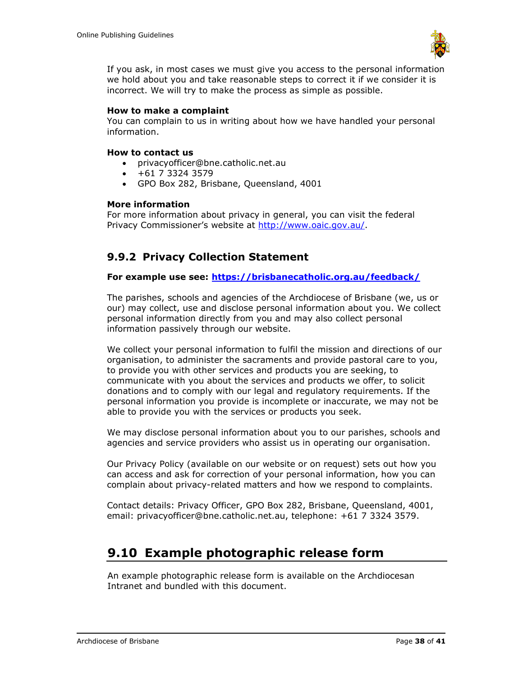

If you ask, in most cases we must give you access to the personal information we hold about you and take reasonable steps to correct it if we consider it is incorrect. We will try to make the process as simple as possible.

#### **How to make a complaint**

You can complain to us in writing about how we have handled your personal information.

#### **How to contact us**

- privacyofficer@bne.catholic.net.au
- $+61$  7 3324 3579
- GPO Box 282, Brisbane, Queensland, 4001

#### **More information**

For more information about privacy in general, you can visit the federal Privacy Commissioner's website at [http://www.oaic.gov.au/.](http://www.oaic.gov.au/)

## <span id="page-37-0"></span>**9.9.2 Privacy Collection Statement**

#### **For example use see:<https://brisbanecatholic.org.au/feedback/>**

The parishes, schools and agencies of the Archdiocese of Brisbane (we, us or our) may collect, use and disclose personal information about you. We collect personal information directly from you and may also collect personal information passively through our website.

We collect your personal information to fulfil the mission and directions of our organisation, to administer the sacraments and provide pastoral care to you, to provide you with other services and products you are seeking, to communicate with you about the services and products we offer, to solicit donations and to comply with our legal and regulatory requirements. If the personal information you provide is incomplete or inaccurate, we may not be able to provide you with the services or products you seek.

We may disclose personal information about you to our parishes, schools and agencies and service providers who assist us in operating our organisation.

Our Privacy Policy (available on our website or on request) sets out how you can access and ask for correction of your personal information, how you can complain about privacy-related matters and how we respond to complaints.

Contact details: Privacy Officer, GPO Box 282, Brisbane, Queensland, 4001, email: privacyofficer@bne.catholic.net.au, telephone: +61 7 3324 3579.

## <span id="page-37-1"></span>**9.10 Example photographic release form**

An example photographic release form is available on the Archdiocesan Intranet and bundled with this document.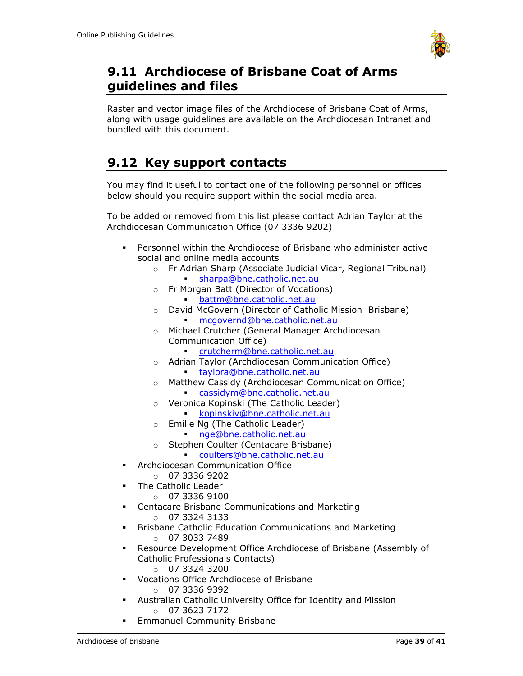

## <span id="page-38-0"></span>**9.11 Archdiocese of Brisbane Coat of Arms guidelines and files**

Raster and vector image files of the Archdiocese of Brisbane Coat of Arms, along with usage guidelines are available on the Archdiocesan Intranet and bundled with this document.

# <span id="page-38-1"></span>**9.12 Key support contacts**

You may find it useful to contact one of the following personnel or offices below should you require support within the social media area.

To be added or removed from this list please contact Adrian Taylor at the Archdiocesan Communication Office (07 3336 9202)

- Personnel within the Archdiocese of Brisbane who administer active social and online media accounts
	- o Fr Adrian Sharp (Associate Judicial Vicar, Regional Tribunal) [sharpa@bne.catholic.net.au](mailto:sharpa@bne.catholic.net.au)
	- o Fr Morgan Batt (Director of Vocations)
		- [battm@bne.catholic.net.au](mailto:battm@bne.catholic.net.au)
	- o David McGovern (Director of Catholic Mission Brisbane) [mcgovernd@bne.catholic.net.au](mailto:mcgovernd@bne.catholic.net.au)
	- o Michael Crutcher (General Manager Archdiocesan Communication Office)
		- [crutcherm@bne.catholic.net.au](mailto:crutcherm@bne.catholic.net.au)
	- o Adrian Taylor (Archdiocesan Communication Office)
		- [taylora@bne.catholic.net.au](mailto:taylora@bne.catholic.net.au)
	- o Matthew Cassidy (Archdiocesan Communication Office) [cassidym@bne.catholic.net.au](mailto:cassidym@bne.catholic.net.au)
	- o Veronica Kopinski (The Catholic Leader)
		- [kopinskiv@bne.catholic.net.au](mailto:kopinskiv@bne.catholic.net.au)
	- o Emilie Ng (The Catholic Leader)
		- [nge@bne.catholic.net.au](mailto:nge@bne.catholic.net.au)
	- o Stephen Coulter (Centacare Brisbane)
		- [coulters@bne.catholic.net.au](mailto:coulters@bne.catholic.net.au)
- **Archdiocesan Communication Office** 
	- $O$  07 3336 9202
- **The Catholic Leader** 
	- $O$  07 3336 9100
	- Centacare Brisbane Communications and Marketing
		- o 07 3324 3133
- Brisbane Catholic Education Communications and Marketing  $o$  07 3033 7489
- Resource Development Office Archdiocese of Brisbane (Assembly of Catholic Professionals Contacts)
	- o 07 3324 3200
- Vocations Office Archdiocese of Brisbane o 07 3336 9392
- Australian Catholic University Office for Identity and Mission  $O$  07 3623 7172
- **Emmanuel Community Brisbane**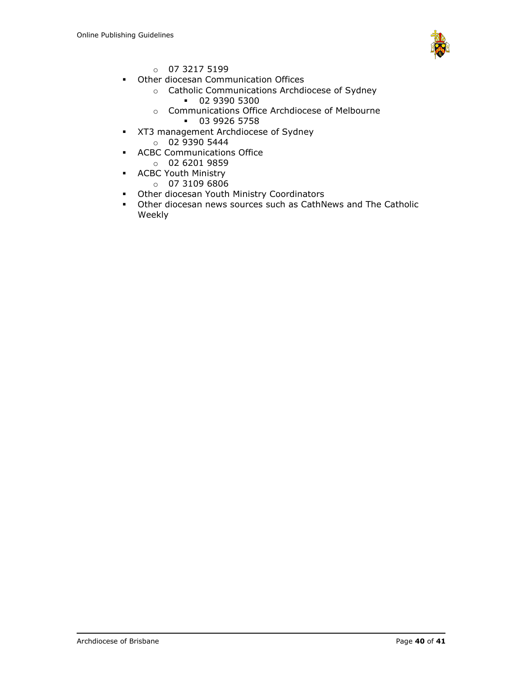

- $0732175199$
- Other diocesan Communication Offices
	- o Catholic Communications Archdiocese of Sydney
		- 02 9390 5300
		- o Communications Office Archdiocese of Melbourne
			- 03 9926 5758
- XT3 management Archdiocese of Sydney
	- o 02 9390 5444
- **ACBC Communications Office** 
	- o 02 6201 9859
- **EXEC** Youth Ministry
	- $0731096806$
- Other diocesan Youth Ministry Coordinators
- Other diocesan news sources such as CathNews and The Catholic Weekly